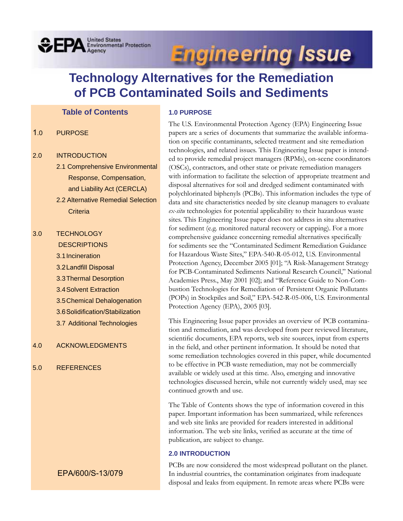## **OFPA** Environmental Protection

# **Engineering Issue**

## **Technology Alternatives for the Remediation of PCB Contaminated Soils and Sediments**

## **Table of Contents**

- 1.0 PURPOSE
- 2.0 INTRODUCTION
	- 2.1 Comprehensive Environmental Response, Compensation, and Liability Act (CERCLA)
	- 2.2 Alternative Remedial Selection **Criteria**

## 3.0 TECHNOLOGY **DESCRIPTIONS** 3.1Incineration 3.2 Landfill Disposal 3.3Thermal Desorption 3.4Solvent Extraction 3.5Chemical Dehalogenation 3.6 Solidification/Stabilization 3.7 Additional Technologies

- 4.0 ACKNOWLEDGMENTS
- 5.0 REFERENCES

## EPA/600/S-13/079

## **1.0 PURPOSE**

The U.S. Environmental Protection Agency (EPA) Engineering Issue papers are a series of documents that summarize the available information on specific contaminants, selected treatment and site remediation technologies, and related issues. This Engineering Issue paper is intended to provide remedial project managers (RPMs), on-scene coordinators (OSCs), contractors, and other state or private remediation managers with information to facilitate the selection of appropriate treatment and disposal alternatives for soil and dredged sediment contaminated with polychlorinated biphenyls (PCBs). This information includes the type of data and site characteristics needed by site cleanup managers to evaluate *ex-situ* technologies for potential applicability to their hazardous waste sites. This Engineering Issue paper does not address in situ alternatives for sediment (e.g. monitored natural recovery or capping). For a more comprehensive guidance concerning remedial alternatives specifically for sediments see the "Contaminated Sediment Remediation Guidance for Hazardous Waste Sites," EPA-540-R-05-012, U.S. Environmental Protection Agency, December 2005 [01]; "A Risk-Management Strategy for PCB-Contaminated Sediments National Research Council," National Academies Press., May 2001 [02]; and "Reference Guide to Non-Combustion Technologies for Remediation of Persistent Organic Pollutants (POPs) in Stockpiles and Soil," EPA-542-R-05-006, U.S. Environmental Protection Agency (EPA), 2005 [03].

This Engineering Issue paper provides an overview of PCB contamination and remediation, and was developed from peer reviewed literature, scientific documents, EPA reports, web site sources, input from experts in the field, and other pertinent information. It should be noted that some remediation technologies covered in this paper, while documented to be effective in PCB waste remediation, may not be commercially available or widely used at this time. Also, emerging and innovative technologies discussed herein, while not currently widely used, may see continued growth and use.

The Table of Contents shows the type of information covered in this paper. Important information has been summarized, while references and web site links are provided for readers interested in additional information. The web site links, verified as accurate at the time of publication, are subject to change.

## **2.0 INTRODUCTION**

PCBs are now considered the most widespread pollutant on the planet. In industrial countries, the contamination originates from inadequate disposal and leaks from equipment. In remote areas where PCBs were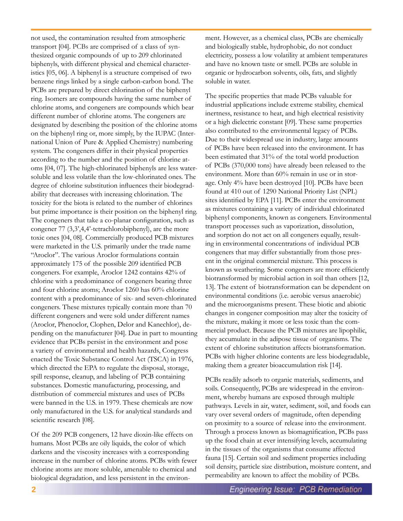not used, the contamination resulted from atmospheric transport [04]. PCBs are comprised of a class of synthesized organic compounds of up to 209 chlorinated biphenyls, with different physical and chemical characteristics [05, 06]. A biphenyl is a structure comprised of two benzene rings linked by a single carbon-carbon bond. The PCBs are prepared by direct chlorination of the biphenyl ring. Isomers are compounds having the same number of chlorine atoms, and congeners are compounds which bear different number of chlorine atoms. The congeners are designated by describing the position of the chlorine atoms on the biphenyl ring or, more simply, by the IUPAC (International Union of Pure & Applied Chemistry) numbering system. The congeners differ in their physical properties according to the number and the position of chlorine atoms [04, 07]. The high-chlorinated biphenyls are less watersoluble and less volatile than the low-chlorinated ones. The degree of chlorine substitution influences their biodegradability that decreases with increasing chlorination. The toxicity for the biota is related to the number of chlorines but prime importance is their position on the biphenyl ring. The congeners that take a co-planar configuration, such as congener 77 (3,3',4,4'-tetrachlorobiphenyl), are the more toxic ones [04, 08]. Commercially produced PCB mixtures were marketed in the U.S. primarily under the trade name "Aroclor". The various Aroclor formulations contain approximately 175 of the possible 209 identified PCB congeners. For example, Aroclor 1242 contains 42% of chlorine with a predominance of congeners bearing three and four chlorine atoms; Aroclor 1260 has 60% chlorine content with a predominance of six- and seven-chlorinated congeners. These mixtures typically contain more than 70 different congeners and were sold under different names (Aroclor, Phenoclor, Clophen, Delor and Kanechlor), depending on the manufacturer [04]. Due in part to mounting evidence that PCBs persist in the environment and pose a variety of environmental and health hazards, Congress enacted the Toxic Substance Control Act (TSCA) in 1976, which directed the EPA to regulate the disposal, storage, spill response, cleanup, and labeling of PCB containing substances. Domestic manufacturing, processing, and distribution of commercial mixtures and uses of PCBs were banned in the U.S. in 1979. These chemicals are now only manufactured in the U.S. for analytical standards and scientific research [08].

Of the 209 PCB congeners, 12 have dioxin-like effects on humans. Most PCBs are oily liquids, the color of which darkens and the viscosity increases with a corresponding increase in the number of chlorine atoms. PCBs with fewer chlorine atoms are more soluble, amenable to chemical and biological degradation, and less persistent in the environ-

ment. However, as a chemical class, PCBs are chemically and biologically stable, hydrophobic, do not conduct electricity, possess a low volatility at ambient temperatures and have no known taste or smell. PCBs are soluble in organic or hydrocarbon solvents, oils, fats, and slightly soluble in water.

The specific properties that made PCBs valuable for industrial applications include extreme stability, chemical inertness, resistance to heat, and high electrical resistivity or a high dielectric constant [09]. These same properties also contributed to the environmental legacy of PCBs. Due to their widespread use in industry, large amounts of PCBs have been released into the environment. It has been estimated that 31% of the total world production of PCBs (370,000 tons) have already been released to the environment. More than 60% remain in use or in storage. Only 4% have been destroyed [10]. PCBs have been found at 410 out of 1290 National Priority List (NPL) sites identified by EPA [11]. PCBs enter the environment as mixtures containing a variety of individual chlorinated biphenyl components, known as congeners. Environmental transport processes such as vaporization, dissolution, and sorption do not act on all congeners equally, resulting in environmental concentrations of individual PCB congeners that may differ substantially from those present in the original commercial mixture. This process is known as weathering. Some congeners are more efficiently biotransformed by microbial action in soil than others [12, 13]. The extent of biotransformation can be dependent on environmental conditions (i.e. aerobic versus anaerobic) and the microorganisms present. These biotic and abiotic changes in congener composition may alter the toxicity of the mixture, making it more or less toxic than the commercial product. Because the PCB mixtures are lipophilic, they accumulate in the adipose tissue of organisms. The extent of chlorine substitution affects biotransformation. PCBs with higher chlorine contents are less biodegradable, making them a greater bioaccumulation risk [14].

PCBs readily adsorb to organic materials, sediments, and soils. Consequently, PCBs are widespread in the environment, whereby humans are exposed through multiple pathways. Levels in air, water, sediment, soil, and foods can vary over several orders of magnitude, often depending on proximity to a source of release into the environment. Through a process known as biomagnification, PCBs pass up the food chain at ever intensifying levels, accumulating in the tissues of the organisms that consume affected fauna [15]. Certain soil and sediment properties including soil density, particle size distribution, moisture content, and permeability are known to affect the mobility of PCBs.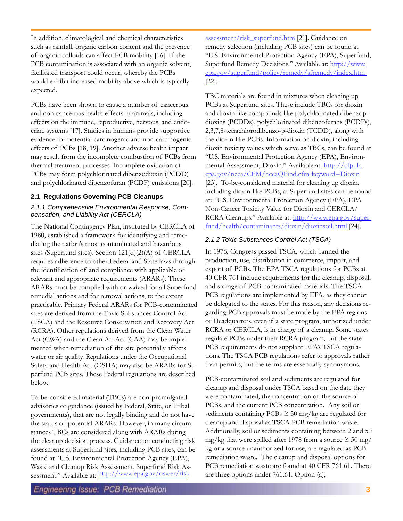In addition, climatological and chemical characteristics such as rainfall, organic carbon content and the presence of organic colloids can affect PCB mobility [16]. If the PCB contamination is associated with an organic solvent, facilitated transport could occur, whereby the PCBs would exhibit increased mobility above which is typically expected.

PCBs have been shown to cause a number of cancerous and non-cancerous health effects in animals, including effects on the immune, reproductive, nervous, and endocrine systems [17]. Studies in humans provide supportive evidence for potential carcinogenic and non-carcinogenic effects of PCBs [18, 19]. Another adverse health impact may result from the incomplete combustion of PCBs from thermal treatment processes. Incomplete oxidation of PCBs may form polychlorinated dibenzodioxin (PCDD) and polychlorinated dibenzofuran (PCDF) emissions [20].

## **2.1 Regulations Governing PCB Cleanups**

## *2.1.1 Comprehensive Environmental Response, Compensation, and Liability Act (CERCLA)*

The National Contingency Plan, instituted by CERCLA of 1980, established a framework for identifying and remediating the nation's most contaminated and hazardous sites (Superfund sites). Section 121(d)(2)(A) of CERCLA requires adherence to other Federal and State laws through the identification of and compliance with applicable or relevant and appropriate requirements (ARARs). These ARARs must be complied with or waived for all Superfund remedial actions and for removal actions, to the extent practicable. Primary Federal ARARs for PCB-contaminated sites are derived from the Toxic Substances Control Act (TSCA) and the Resource Conservation and Recovery Act (RCRA). Other regulations derived from the Clean Water Act (CWA) and the Clean Air Act (CAA) may be implemented when remediation of the site potentially affects water or air quality. Regulations under the Occupational Safety and Health Act (OSHA) may also be ARARs for Superfund PCB sites. These Federal regulations are described below.

To-be-considered material (TBCs) are non-promulgated advisories or guidance (issued by Federal, State, or Tribal governments), that are not legally binding and do not have the status of potential ARARs. However, in many circumstances TBCs are considered along with ARARs during the cleanup decision process. Guidance on conducting risk assessments at Superfund sites, including PCB sites, can be found at "U.S. Environmental Protection Agency (EPA), Waste and Cleanup Risk Assessment, Superfund Risk Assessment." Available at: http://www.epa.gov/oswer/risk

assessment/risk\_superfund.htm [21]. Guidance on remedy selection (including PCB sites) can be found at "U.S. Environmental Protection Agency (EPA), Superfund, Superfund Remedy Decisions." Available at: http://www. epa.gov/superfund/policy/remedy/sfremedy/index.htm [22].

TBC materials are found in mixtures when cleaning up PCBs at Superfund sites. These include TBCs for dioxin and dioxin-like compounds like polychlorinated dibenzopdioxins (PCDDs), polychlorinated dibenzofurans (PCDFs), 2,3,7,8-tetrachlorodibenzo-p-dioxin (TCDD), along with the dioxin-like PCBs. Information on dioxin, including dioxin toxicity values which serve as TBCs, can be found at "U.S. Environmental Protection Agency (EPA), Environmental Assessment, Dioxin." Available at: http://cfpub. epa.gov/ncea/CFM/nceaQFind.cfm?keyword=Dioxin [23]. To-be-considered material for cleaning up dioxin, including dioxin-like PCBs, at Superfund sites can be found at: "U.S. Environmental Protection Agency (EPA), EPA Non-Cancer Toxicity Value for Dioxin and CERCLA/ RCRA Cleanups." Available at: http://www.epa.gov/superfund/health/contaminants/dioxin/dioxinsoil.html [24].

## *2.1.2 Toxic Substances Control Act (TSCA)*

In 1976, Congress passed TSCA, which banned the production, use, distribution in commerce, import, and export of PCBs. The EPA TSCA regulations for PCBs at 40 CFR 761 include requirements for the cleanup, disposal, and storage of PCB-contaminated materials. The TSCA PCB regulations are implemented by EPA, as they cannot be delegated to the states. For this reason, any decisions regarding PCB approvals must be made by the EPA regions or Headquarters, even if a state program, authorized under RCRA or CERCLA, is in charge of a cleanup. Some states regulate PCBs under their RCRA program, but the state PCB requirements do not supplant EPA's TSCA regulations. The TSCA PCB regulations refer to approvals rather than permits, but the terms are essentially synonymous.

PCB-contaminated soil and sediments are regulated for cleanup and disposal under TSCA based on the date they were contaminated, the concentration of the source of PCBs, and the current PCB concentration. Any soil or sediments containing  $PCBs \geq 50$  mg/kg are regulated for cleanup and disposal as TSCA PCB remediation waste. Additionally, soil or sediments containing between 2 and 50 mg/kg that were spilled after 1978 from a source  $\geq 50$  mg/ kg or a source unauthorized for use, are regulated as PCB remediation waste. The cleanup and disposal options for PCB remediation waste are found at 40 CFR 761.61. There are three options under 761.61. Option (a),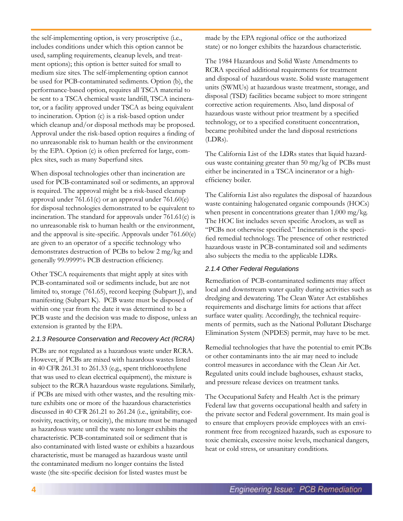the self-implementing option, is very proscriptive (i.e., includes conditions under which this option cannot be used, sampling requirements, cleanup levels, and treatment options); this option is better suited for small to medium size sites. The self-implementing option cannot be used for PCB-contaminated sediments. Option (b), the performance-based option, requires all TSCA material to be sent to a TSCA chemical waste landfill, TSCA incinerator, or a facility approved under TSCA as being equivalent to incineration. Option (c) is a risk-based option under which cleanup and/or disposal methods may be proposed. Approval under the risk-based option requires a finding of no unreasonable risk to human health or the environment by the EPA. Option (c) is often preferred for large, complex sites, such as many Superfund sites.

When disposal technologies other than incineration are used for PCB-contaminated soil or sediments, an approval is required. The approval might be a risk-based cleanup approval under 761.61(c) or an approval under 761.60(e) for disposal technologies demonstrated to be equivalent to incineration. The standard for approvals under 761.61(c) is no unreasonable risk to human health or the environment, and the approval is site-specific. Approvals under 761.60(e) are given to an operator of a specific technology who demonstrates destruction of PCBs to below 2 mg/kg and generally 99.9999% PCB destruction efficiency.

Other TSCA requirements that might apply at sites with PCB-contaminated soil or sediments include, but are not limited to, storage (761.65), record keeping (Subpart J), and manifesting (Subpart K). PCB waste must be disposed of within one year from the date it was determined to be a PCB waste and the decision was made to dispose, unless an extension is granted by the EPA.

## *2.1.3 Resource Conservation and Recovery Act (RCRA)*

PCBs are not regulated as a hazardous waste under RCRA. However, if PCBs are mixed with hazardous wastes listed in 40 CFR 261.31 to 261.33 (e.g., spent trichloroethylene that was used to clean electrical equipment), the mixture is subject to the RCRA hazardous waste regulations. Similarly, if PCBs are mixed with other wastes, and the resulting mixture exhibits one or more of the hazardous characteristics discussed in 40 CFR 261.21 to 261.24 (i.e., ignitability, corrosivity, reactivity, or toxicity), the mixture must be managed as hazardous waste until the waste no longer exhibits the characteristic. PCB-contaminated soil or sediment that is also contaminated with listed waste or exhibits a hazardous characteristic, must be managed as hazardous waste until the contaminated medium no longer contains the listed waste (the site-specific decision for listed wastes must be

made by the EPA regional office or the authorized state) or no longer exhibits the hazardous characteristic.

The 1984 Hazardous and Solid Waste Amendments to RCRA specified additional requirements for treatment and disposal of hazardous waste. Solid waste management units (SWMUs) at hazardous waste treatment, storage, and disposal (TSD) facilities became subject to more stringent corrective action requirements. Also, land disposal of hazardous waste without prior treatment by a specified technology, or to a specified constituent concentration, became prohibited under the land disposal restrictions (LDRs).

The California List of the LDRs states that liquid hazardous waste containing greater than 50 mg/kg of PCBs must either be incinerated in a TSCA incinerator or a highefficiency boiler.

The California List also regulates the disposal of hazardous waste containing halogenated organic compounds (HOCs) when present in concentrations greater than 1,000 mg/kg. The HOC list includes seven specific Aroclors, as well as "PCBs not otherwise specified." Incineration is the specified remedial technology. The presence of other restricted hazardous waste in PCB-contaminated soil and sediments also subjects the media to the applicable LDRs.

## *2.1.4 Other Federal Regulations*

Remediation of PCB-contaminated sediments may affect local and downstream water quality during activities such as dredging and dewatering. The Clean Water Act establishes requirements and discharge limits for actions that affect surface water quality. Accordingly, the technical requirements of permits, such as the National Pollutant Discharge Elimination System (NPDES) permit, may have to be met.

Remedial technologies that have the potential to emit PCBs or other contaminants into the air may need to include control measures in accordance with the Clean Air Act. Regulated units could include baghouses, exhaust stacks, and pressure release devices on treatment tanks.

The Occupational Safety and Health Act is the primary Federal law that governs occupational health and safety in the private sector and Federal government. Its main goal is to ensure that employers provide employees with an environment free from recognized hazards, such as exposure to toxic chemicals, excessive noise levels, mechanical dangers, heat or cold stress, or unsanitary conditions.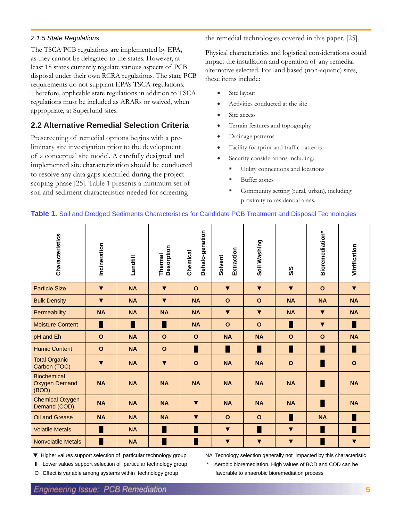## *2.1.5 State Regulations*

The TSCA PCB regulations are implemented by EPA, as they cannot be delegated to the states. However, at least 18 states currently regulate various aspects of PCB disposal under their own RCRA regulations. The state PCB requirements do not supplant EPA's TSCA regulations. Therefore, applicable state regulations in addition to TSCA regulations must be included as ARARs or waived, when appropriate, at Superfund sites.

## **2.2 Alternative Remedial Selection Criteria**

Prescreening of remedial options begins with a preliminary site investigation prior to the development of a conceptual site model. A carefully designed and implemented site characterization should be conducted to resolve any data gaps identified during the project scoping phase [25]. Table 1 presents a minimum set of soil and sediment characteristics needed for screening

the remedial technologies covered in this paper. [25].

Physical characteristics and logistical considerations could impact the installation and operation of any remedial alternative selected. For land based (non-aquatic) sites, these items include:

- Site layout
- Activities conducted at the site
- Site access
- Terrain features and topography
- Drainage patterns
- Facility footprint and traffic patterns
- Security considerations including:
	- Utility connections and locations
	- Buffer zones
	- Community setting (rural, urban), including proximity to residential areas.

## **Table 1.** Soil and Dredged Sediments Characteristics for Candidate PCB Treatment and Disposal Technologies

| Characteristics                                     | Incineration         | Landfill  | Desorption<br>Thermal | Dehalo-genation<br>Chemical | Extraction<br>Solvent | Soil Washing         | S/S                  | Bioremediation*      | Vitrification        |
|-----------------------------------------------------|----------------------|-----------|-----------------------|-----------------------------|-----------------------|----------------------|----------------------|----------------------|----------------------|
| <b>Particle Size</b>                                | $\blacktriangledown$ | <b>NA</b> | $\blacktriangledown$  | $\mathbf{o}$                | $\blacktriangledown$  | $\blacktriangledown$ | $\blacktriangledown$ | $\mathbf{o}$         | $\blacktriangledown$ |
| <b>Bulk Density</b>                                 | $\blacktriangledown$ | <b>NA</b> | $\blacktriangledown$  | <b>NA</b>                   | $\mathbf{o}$          | $\mathbf{o}$         | <b>NA</b>            | <b>NA</b>            | <b>NA</b>            |
| Permeability                                        | <b>NA</b>            | <b>NA</b> | <b>NA</b>             | <b>NA</b>                   | $\blacktriangledown$  | $\blacktriangledown$ | <b>NA</b>            | $\blacktriangledown$ | <b>NA</b>            |
| <b>Moisture Content</b>                             | П                    | П         | П                     | <b>NA</b>                   | $\mathbf{o}$          | $\mathbf{o}$         | П                    | $\blacktriangledown$ | п                    |
| pH and Eh                                           | $\mathbf{o}$         | <b>NA</b> | $\mathbf{o}$          | $\mathbf{o}$                | <b>NA</b>             | <b>NA</b>            | $\mathbf{o}$         | $\mathbf{o}$         | <b>NA</b>            |
| <b>Humic Content</b>                                | $\mathbf{o}$         | <b>NA</b> | $\mathbf{o}$          | П                           | П                     | П                    | П                    | П                    | п                    |
| <b>Total Organic</b><br>Carbon (TOC)                | $\blacktriangledown$ | <b>NA</b> | $\blacktriangledown$  | $\mathbf{o}$                | <b>NA</b>             | <b>NA</b>            | $\mathbf{o}$         |                      | $\mathbf{o}$         |
| <b>Biochemical</b><br><b>Oxygen Demand</b><br>(BOD) | <b>NA</b>            | <b>NA</b> | <b>NA</b>             | <b>NA</b>                   | <b>NA</b>             | <b>NA</b>            | <b>NA</b>            |                      | <b>NA</b>            |
| <b>Chemical Oxygen</b><br>Demand (COD)              | <b>NA</b>            | <b>NA</b> | <b>NA</b>             | $\blacktriangledown$        | <b>NA</b>             | <b>NA</b>            | <b>NA</b>            |                      | <b>NA</b>            |
| Oil and Grease                                      | <b>NA</b>            | <b>NA</b> | <b>NA</b>             | $\blacktriangledown$        | $\mathbf{o}$          | $\mathbf{o}$         | П                    | <b>NA</b>            |                      |
| <b>Volatile Metals</b>                              | п                    | <b>NA</b> | П                     | П                           | $\blacktriangledown$  | П                    | $\blacktriangledown$ |                      |                      |
| <b>Nonvolatile Metals</b>                           | П                    | <b>NA</b> | П                     | П                           | $\blacktriangledown$  | $\blacktriangledown$ | $\blacktriangledown$ |                      | $\blacktriangledown$ |

▼ Higher values support selection of particular technology group

NA Tecnology selection generally not impacted by this characteristic Aerobic bioremediation. High values of BOD and COD can be

favorable to anaerobic bioremediation process

Lower values support selection of particular technology group

O Effect is variable among systems within technology group

**Engineering Issue: PCB Remediation**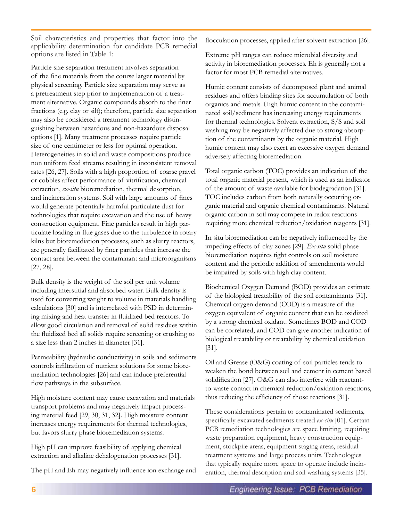Soil characteristics and properties that factor into the applicability determination for candidate PCB remedial options are listed in Table 1:

Particle size separation treatment involves separation of the fine materials from the course larger material by physical screening. Particle size separation may serve as a pretreatment step prior to implementation of a treatment alternative. Organic compounds absorb to the finer fractions (e.g. clay or silt); therefore, particle size separation may also be considered a treatment technology distinguishing between hazardous and non-hazardous disposal options [1]. Many treatment processes require particle size of one centimeter or less for optimal operation. Heterogeneities in solid and waste compositions produce non uniform feed streams resulting in inconsistent removal rates [26, 27]. Soils with a high proportion of coarse gravel or cobbles affect performance of vitrification, chemical extraction, *ex-situ* bioremediation, thermal desorption, and incineration systems. Soil with large amounts of fines would generate potentially harmful particulate dust for technologies that require excavation and the use of heavy construction equipment. Fine particles result in high particulate loading in flue gases due to the turbulence in rotary kilns but bioremediation processes, such as slurry reactors, are generally facilitated by finer particles that increase the contact area between the contaminant and microorganisms [27, 28].

Bulk density is the weight of the soil per unit volume including interstitial and absorbed water. Bulk density is used for converting weight to volume in materials handling calculations [30] and is interrelated with PSD in determining mixing and heat transfer in fluidized bed reactors. To allow good circulation and removal of solid residues within the fluidized bed all solids require screening or crushing to a size less than 2 inches in diameter [31].

Permeability (hydraulic conductivity) in soils and sediments controls infiltration of nutrient solutions for some bioremediation technologies [26] and can induce preferential flow pathways in the subsurface.

High moisture content may cause excavation and materials transport problems and may negatively impact processing material feed [29, 30, 31, 32]. High moisture content increases energy requirements for thermal technologies, but favors slurry phase bioremediation systems.

High pH can improve feasibility of applying chemical extraction and alkaline dehalogenation processes [31].

The pH and Eh may negatively influence ion exchange and

flocculation processes, applied after solvent extraction [26].

Extreme pH ranges can reduce microbial diversity and activity in bioremediation processes. Eh is generally not a factor for most PCB remedial alternatives.

Humic content consists of decomposed plant and animal residues and offers binding sites for accumulation of both organics and metals. High humic content in the contaminated soil/sediment has increasing energy requirements for thermal technologies. Solvent extraction, S/S and soil washing may be negatively affected due to strong absorption of the contaminants by the organic material. High humic content may also exert an excessive oxygen demand adversely affecting bioremediation.

Total organic carbon (TOC) provides an indication of the total organic material present, which is used as an indicator of the amount of waste available for biodegradation [31]. TOC includes carbon from both naturally occurring organic material and organic chemical contaminants. Natural organic carbon in soil may compete in redox reactions requiring more chemical reduction/oxidation reagents [31].

In situ bioremediation can be negatively influenced by the impeding effects of clay zones [29]. *Ex-situ* solid phase bioremediation requires tight controls on soil moisture content and the periodic addition of amendments would be impaired by soils with high clay content.

Biochemical Oxygen Demand (BOD) provides an estimate of the biological treatability of the soil contaminants [31]. Chemical oxygen demand (COD) is a measure of the oxygen equivalent of organic content that can be oxidized by a strong chemical oxidant. Sometimes BOD and COD can be correlated, and COD can give another indication of biological treatability or treatability by chemical oxidation [31].

Oil and Grease (O&G) coating of soil particles tends to weaken the bond between soil and cement in cement based solidification [27]. O&G can also interfere with reactantto-waste contact in chemical reduction/oxidation reactions, thus reducing the efficiency of those reactions [31].

These considerations pertain to contaminated sediments, specifically excavated sediments treated *ex-situ* [01]. Certain PCB remediation technologies are space limiting, requiring waste preparation equipment, heavy construction equipment, stockpile areas, equipment staging areas, residual treatment systems and large process units. Technologies that typically require more space to operate include incineration, thermal desorption and soil washing systems [35].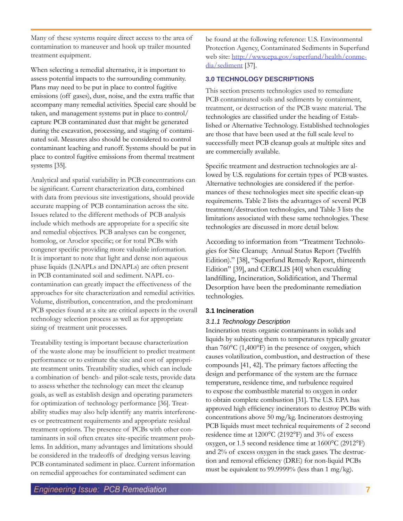Many of these systems require direct access to the area of contamination to maneuver and hook up trailer mounted treatment equipment.

When selecting a remedial alternative, it is important to assess potential impacts to the surrounding community. Plans may need to be put in place to control fugitive emissions (off gases), dust, noise, and the extra traffic that accompany many remedial activities. Special care should be taken, and management systems put in place to control/ capture PCB contaminated dust that might be generated during the excavation, processing, and staging of contaminated soil. Measures also should be considered to control contaminant leaching and runoff. Systems should be put in place to control fugitive emissions from thermal treatment systems [35].

Analytical and spatial variability in PCB concentrations can be significant. Current characterization data, combined with data from previous site investigations, should provide accurate mapping of PCB contamination across the site. Issues related to the different methods of PCB analysis include which methods are appropriate for a specific site and remedial objectives. PCB analyses can be congener, homolog, or Aroclor specific; or for total PCBs with congener specific providing more valuable information. It is important to note that light and dense non aqueous phase liquids (LNAPLs and DNAPLs) are often present in PCB contaminated soil and sediment. NAPL cocontamination can greatly impact the effectiveness of the approaches for site characterization and remedial activities. Volume, distribution, concentration, and the predominant PCB species found at a site are critical aspects in the overall technology selection process as well as for appropriate sizing of treatment unit processes.

Treatability testing is important because characterization of the waste alone may be insufficient to predict treatment performance or to estimate the size and cost of appropriate treatment units. Treatability studies, which can include a combination of bench- and pilot-scale tests, provide data to assess whether the technology can meet the cleanup goals, as well as establish design and operating parameters for optimization of technology performance [36]. Treatability studies may also help identify any matrix interferences or pretreatment requirements and appropriate residual treatment options. The presence of PCBs with other contaminants in soil often creates site-specific treatment problems. In addition, many advantages and limitations should be considered in the tradeoffs of dredging versus leaving PCB contaminated sediment in place. Current information on remedial approaches for contaminated sediment can

be found at the following reference: U.S. Environmental Protection Agency, Contaminated Sediments in Superfund web site: http://www.epa.gov/superfund/health/conmedia/sediment [37].

## **3.0 TECHNOLOGY DESCRIPTIONS**

This section presents technologies used to remediate PCB contaminated soils and sediments by containment, treatment, or destruction of the PCB waste material. The technologies are classified under the heading of Established or Alternative Technology. Established technologies are those that have been used at the full scale level to successfully meet PCB cleanup goals at multiple sites and are commercially available.

Specific treatment and destruction technologies are allowed by U.S. regulations for certain types of PCB wastes. Alternative technologies are considered if the performances of these technologies meet site specific clean-up requirements. Table 2 lists the advantages of several PCB treatment/destruction technologies, and Table 3 lists the limitations associated with these same technologies. These technologies are discussed in more detail below.

According to information from "Treatment Technologies for Site Cleanup; Annual Status Report (Twelfth Edition)." [38], "Superfund Remedy Report, thirteenth Edition" [39], and CERCLIS [40] when exculding landfilling, Incineration, Solidification, and Thermal Desorption have been the predominante remediation technologies.

## **3.1 Incineration**

## *3.1.1 Technology Description*

Incineration treats organic contaminants in solids and liquids by subjecting them to temperatures typically greater than 760°C (1,400°F) in the presence of oxygen, which causes volatilization, combustion, and destruction of these compounds [41, 42]. The primary factors affecting the design and performance of the system are the furnace temperature, residence time, and turbulence required to expose the combustible material to oxygen in order to obtain complete combustion [31]. The U.S. EPA has approved high efficiency incinerators to destroy PCBs with concentrations above 50 mg/kg. Incinerators destroying PCB liquids must meet technical requirements of 2 second residence time at 1200°C (2192°F) and 3% of excess oxygen, or 1.5 second residence time at 1600°C (2912°F) and 2% of excess oxygen in the stack gases. The destruction and removal efficiency (DRE) for non-liquid PCBs must be equivalent to 99.9999% (less than 1 mg/kg).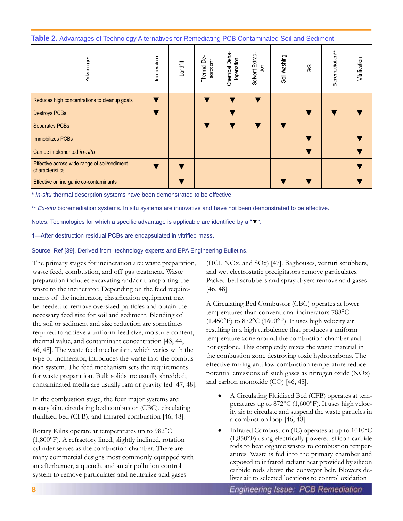**Table 2.** Advantages of Technology Alternatives for Remediating PCB Contaminated Soil and Sediment

| Advantages                                                      | Incineration | Landfill | Thermal De-<br>sorption* | Chemical Deha-<br>logenation | Solvent Extrac<br>$\frac{5}{2}$ | Soil Washing | SSS | Bioremediation** | Vitrification |
|-----------------------------------------------------------------|--------------|----------|--------------------------|------------------------------|---------------------------------|--------------|-----|------------------|---------------|
| Reduces high concentrations to cleanup goals                    |              |          |                          |                              |                                 |              |     |                  |               |
| <b>Destroys PCBs</b>                                            |              |          |                          |                              |                                 |              |     |                  |               |
| <b>Separates PCBs</b>                                           |              |          |                          |                              |                                 |              |     |                  |               |
| <b>Immobilizes PCBs</b>                                         |              |          |                          |                              |                                 |              |     |                  |               |
| Can be implemented in-situ                                      |              |          |                          |                              |                                 |              |     |                  |               |
| Effective across wide range of soil/sediment<br>characteristics |              |          |                          |                              |                                 |              |     |                  |               |
| Effective on inorganic co-contaminants                          |              |          |                          |                              |                                 |              |     |                  |               |

\* *In-situ* thermal desorption systems have been demonstrated to be effective.

\*\* *Ex-situ* bioremediation systems. In situ systems are innovative and have not been demonstrated to be effective.

Notes: Technologies for which a specific advantage is applicable are identified by a "▼".

1—After destruction residual PCBs are encapsulated in vitrified mass.

Source: Ref [39]. Derived from technology experts and EPA Engineering Bulletins.

The primary stages for incineration are: waste preparation, waste feed, combustion, and off gas treatment. Waste preparation includes excavating and/or transporting the waste to the incinerator. Depending on the feed requirements of the incinerator, classification equipment may be needed to remove oversized particles and obtain the necessary feed size for soil and sediment. Blending of the soil or sediment and size reduction are sometimes required to achieve a uniform feed size, moisture content, thermal value, and contaminant concentration [43, 44, 46, 48]. The waste feed mechanism, which varies with the type of incinerator, introduces the waste into the combustion system. The feed mechanism sets the requirements for waste preparation. Bulk solids are usually shredded; contaminated media are usually ram or gravity fed [47, 48].

In the combustion stage, the four major systems are: rotary kiln, circulating bed combustor (CBC), circulating fluidized bed (CFB), and infrared combustion [46, 48]:

Rotary Kilns operate at temperatures up to 982°C (1,800°F). A refractory lined, slightly inclined, rotation cylinder serves as the combustion chamber. There are many commercial designs most commonly equipped with an afterburner, a quench, and an air pollution control system to remove particulates and neutralize acid gases

(HCI, NOx, and SOx) [47]. Baghouses, venturi scrubbers, and wet electrostatic precipitators remove particulates. Packed bed scrubbers and spray dryers remove acid gases [46, 48].

A Circulating Bed Combustor (CBC) operates at lower temperatures than conventional incinerators 788°C  $(1,450°F)$  to 872°C (1600°F). It uses high velocity air resulting in a high turbulence that produces a uniform temperature zone around the combustion chamber and hot cyclone. This completely mixes the waste material in the combustion zone destroying toxic hydrocarbons. The effective mixing and low combustion temperature reduce potential emissions of such gases as nitrogen oxide (NOx) and carbon monoxide (CO) [46, 48].

- A Circulating Fluidized Bed (CFB) operates at temperatures up to 872°C (1,600°F). It uses high velocity air to circulate and suspend the waste particles in a combustion loop [46, 48].
- Infrared Combustion (IC) operates at up to  $1010^{\circ}$ C (1,850°F) using electrically powered silicon carbide rods to heat organic wastes to combustion temperatures. Waste is fed into the primary chamber and exposed to infrared radiant heat provided by silicon carbide rods above the conveyor belt. Blowers deliver air to selected locations to control oxidation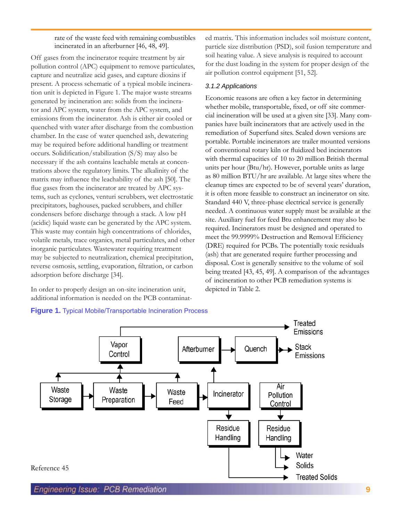rate of the waste feed with remaining combustibles incinerated in an afterburner [46, 48, 49].

Off gases from the incinerator require treatment by air pollution control (APC) equipment to remove particulates, capture and neutralize acid gases, and capture dioxins if present. A process schematic of a typical mobile incineration unit is depicted in Figure 1. The major waste streams generated by incineration are: solids from the incinerator and APC system, water from the APC system, and emissions from the incinerator. Ash is either air cooled or quenched with water after discharge from the combustion chamber. In the case of water quenched ash, dewatering may be required before additional handling or treatment occurs. Solidification/stabilization (S/S) may also be necessary if the ash contains leachable metals at concentrations above the regulatory limits. The alkalinity of the matrix may influence the leachability of the ash [50]. The flue gases from the incinerator are treated by APC systems, such as cyclones, venturi scrubbers, wet electrostatic precipitators, baghouses, packed scrubbers, and chiller condensers before discharge through a stack. A low pH (acidic) liquid waste can be generated by the APC system. This waste may contain high concentrations of chlorides, volatile metals, trace organics, metal particulates, and other inorganic particulates. Wastewater requiring treatment may be subjected to neutralization, chemical precipitation, reverse osmosis, settling, evaporation, filtration, or carbon adsorption before discharge [34].

In order to properly design an on-site incineration unit, additional information is needed on the PCB contaminat-

ed matrix. This information includes soil moisture content, particle size distribution (PSD), soil fusion temperature and soil heating value. A sieve analysis is required to account for the dust loading in the system for proper design of the air pollution control equipment [51, 52].

#### *3.1.2 Applications*

Economic reasons are often a key factor in determining whether mobile, transportable, fixed, or off site commercial incineration will be used at a given site [33]. Many companies have built incinerators that are actively used in the remediation of Superfund sites. Scaled down versions are portable. Portable incinerators are trailer mounted versions of conventional rotary kiln or fluidized bed incinerators with thermal capacities of 10 to 20 million British thermal units per hour (Btu/hr). However, portable units as large as 80 million BTU/hr are available. At large sites where the cleanup times are expected to be of several years' duration, it is often more feasible to construct an incinerator on site. Standard 440 V, three-phase electrical service is generally needed. A continuous water supply must be available at the site. Auxiliary fuel for feed Btu enhancement may also be required. Incinerators must be designed and operated to meet the 99.9999% Destruction and Removal Efficiency (DRE) required for PCBs. The potentially toxic residuals (ash) that are generated require further processing and disposal. Cost is generally sensitive to the volume of soil being treated [43, 45, 49]. A comparison of the advantages of incineration to other PCB remediation systems is depicted in Table 2.



## **Figure 1.** Typical Mobile/Transportable Incineration Process

**<sup>9</sup>**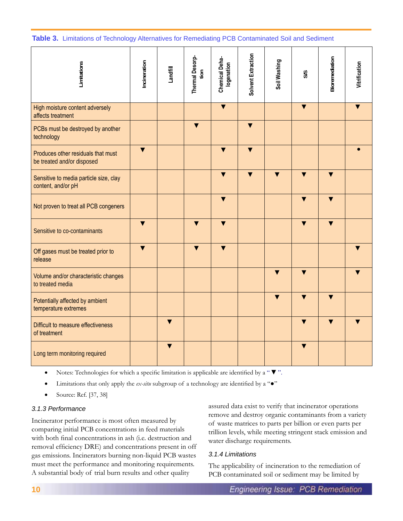**Table 3.** Limitations of Technology Alternatives for Remediating PCB Contaminated Soil and Sediment

| Limitations                                                      | Incineration            | Landfill                | Thermal Desorp-<br>tion | Chemical Deha-<br>logenation | Solvent Extraction      | Soil Washing            | SIS                     | Bioremediation          | Vitrification |
|------------------------------------------------------------------|-------------------------|-------------------------|-------------------------|------------------------------|-------------------------|-------------------------|-------------------------|-------------------------|---------------|
| High moisture content adversely<br>affects treatment             |                         |                         |                         | $\overline{\textbf{v}}$      |                         |                         | $\overline{\textbf{v}}$ |                         |               |
| PCBs must be destroyed by another<br>technology                  |                         |                         | $\overline{\textbf{v}}$ |                              | $\overline{\mathbf{v}}$ |                         |                         |                         |               |
| Produces other residuals that must<br>be treated and/or disposed | $\blacktriangledown$    |                         |                         | $\overline{\textbf{v}}$      | $\overline{\mathbf{v}}$ |                         |                         |                         |               |
| Sensitive to media particle size, clay<br>content, and/or pH     |                         |                         |                         |                              |                         |                         |                         | v                       |               |
| Not proven to treat all PCB congeners                            |                         |                         |                         | $\overline{\textbf{v}}$      |                         |                         | $\overline{\textbf{v}}$ | $\overline{\textbf{v}}$ |               |
| Sensitive to co-contaminants                                     | $\blacktriangledown$    |                         | $\overline{\textbf{v}}$ | $\blacktriangledown$         |                         |                         | $\overline{\textbf{v}}$ | $\overline{\textbf{v}}$ |               |
| Off gases must be treated prior to<br>release                    | $\overline{\textbf{v}}$ |                         | $\overline{\textbf{v}}$ | $\blacktriangledown$         |                         |                         |                         |                         |               |
| Volume and/or characteristic changes<br>to treated media         |                         |                         |                         |                              |                         |                         |                         |                         |               |
| Potentially affected by ambient<br>temperature extremes          |                         |                         |                         |                              |                         | $\overline{\textbf{v}}$ | $\overline{\textbf{v}}$ | $\overline{\textbf{v}}$ |               |
| Difficult to measure effectiveness<br>of treatment               |                         | $\overline{\textbf{v}}$ |                         |                              |                         |                         | $\overline{\mathbf{v}}$ | $\overline{\textbf{v}}$ |               |
| Long term monitoring required                                    |                         | $\overline{\textbf{v}}$ |                         |                              |                         |                         | $\overline{\textbf{v}}$ |                         |               |

• Notes: Technologies for which a specific limitation is applicable are identified by a " ▼".

- Limitations that only apply the *ex-situ* subgroup of a technology are identified by a " $\bullet$ "
- Source: Ref. [37, 38]

## *3.1.3 Performance*

Incinerator performance is most often measured by comparing initial PCB concentrations in feed materials with both final concentrations in ash (i.e. destruction and removal efficiency DRE) and concentrations present in off gas emissions. Incinerators burning non-liquid PCB wastes must meet the performance and monitoring requirements. A substantial body of trial burn results and other quality

assured data exist to verify that incinerator operations remove and destroy organic contaminants from a variety of waste matrices to parts per billion or even parts per trillion levels, while meeting stringent stack emission and water discharge requirements.

## *3.1.4 Limitations*

The applicability of incineration to the remediation of PCB contaminated soil or sediment may be limited by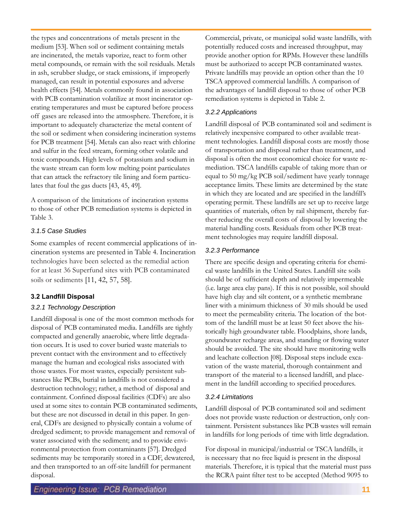the types and concentrations of metals present in the medium [53]. When soil or sediment containing metals are incinerated, the metals vaporize, react to form other metal compounds, or remain with the soil residuals. Metals in ash, scrubber sludge, or stack emissions, if improperly managed, can result in potential exposures and adverse health effects [54]. Metals commonly found in association with PCB contamination volatilize at most incinerator operating temperatures and must be captured before process off gases are released into the atmosphere. Therefore, it is important to adequately characterize the metal content of the soil or sediment when considering incineration systems for PCB treatment [54]. Metals can also react with chlorine and sulfur in the feed stream, forming other volatile and toxic compounds. High levels of potassium and sodium in the waste stream can form low melting point particulates that can attack the refractory tile lining and form particulates that foul the gas ducts [43, 45, 49].

A comparison of the limitations of incineration systems to those of other PCB remediation systems is depicted in Table 3.

## *3.1.5 Case Studies*

Some examples of recent commercial applications of incineration systems are presented in Table 4. Incineration technologies have been selected as the remedial action for at least 36 Superfund sites with PCB contaminated soils or sediments [11, 42, 57, 58].

## **3.2 Landfill Disposal**

## *3.2.1 Technology Description*

Landfill disposal is one of the most common methods for disposal of PCB contaminated media. Landfills are tightly compacted and generally anaerobic, where little degradation occurs. It is used to cover buried waste materials to prevent contact with the environment and to effectively manage the human and ecological risks associated with those wastes. For most wastes, especially persistent substances like PCBs, burial in landfills is not considered a destruction technology; rather, a method of disposal and containment. Confined disposal facilities (CDFs) are also used at some sites to contain PCB contaminated sediments, but these are not discussed in detail in this paper. In general, CDFs are designed to physically contain a volume of dredged sediment; to provide management and removal of water associated with the sediment; and to provide environmental protection from contaminants [57]. Dredged sediments may be temporarily stored in a CDF, dewatered, and then transported to an off-site landfill for permanent disposal.

Commercial, private, or municipal solid waste landfills, with potentially reduced costs and increased throughput, may provide another option for RPMs. However these landfills must be authorized to accept PCB contaminated wastes. Private landfills may provide an option other than the 10 TSCA approved commercial landfills. A comparison of the advantages of landfill disposal to those of other PCB remediation systems is depicted in Table 2.

## *3.2.2 Applications*

Landfill disposal of PCB contaminated soil and sediment is relatively inexpensive compared to other available treatment technologies. Landfill disposal costs are mostly those of transportation and disposal rather than treatment, and disposal is often the most economical choice for waste remediation. TSCA landfills capable of taking more than or equal to 50 mg/kg PCB soil/sediment have yearly tonnage acceptance limits. These limits are determined by the state in which they are located and are specified in the landfill's operating permit. These landfills are set up to receive large quantities of materials, often by rail shipment, thereby further reducing the overall costs of disposal by lowering the material handling costs. Residuals from other PCB treatment technologies may require landfill disposal.

## *3.2.3 Performance*

There are specific design and operating criteria for chemical waste landfills in the United States. Landfill site soils should be of sufficient depth and relatively impermeable (i.e. large area clay pans). If this is not possible, soil should have high clay and silt content, or a synthetic membrane liner with a minimum thickness of 30 mils should be used to meet the permeability criteria. The location of the bottom of the landfill must be at least 50 feet above the historically high groundwater table. Floodplains, shore lands, groundwater recharge areas, and standing or flowing water should be avoided. The site should have monitoring wells and leachate collection [08]. Disposal steps include excavation of the waste material, thorough containment and transport of the material to a licensed landfill, and placement in the landfill according to specified procedures.

## *3.2.4 Limitations*

Landfill disposal of PCB contaminated soil and sediment does not provide waste reduction or destruction, only containment. Persistent substances like PCB wastes will remain in landfills for long periods of time with little degradation.

For disposal in municipal/industrial or TSCA landfills, it is necessary that no free liquid is present in the disposal materials. Therefore, it is typical that the material must pass the RCRA paint filter test to be accepted (Method 9095 to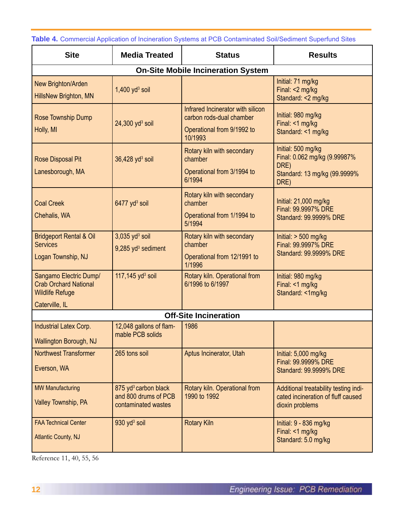**Table 4.** Commercial Application of Incineration Systems at PCB Contaminated Soil/Sediment Superfund Sites

| <b>Site</b>                                                                      | <b>Media Treated</b>                                                            | <b>Status</b>                                                                                          | <b>Results</b>                                                                                     |
|----------------------------------------------------------------------------------|---------------------------------------------------------------------------------|--------------------------------------------------------------------------------------------------------|----------------------------------------------------------------------------------------------------|
|                                                                                  |                                                                                 | <b>On-Site Mobile Incineration System</b>                                                              |                                                                                                    |
| New Brighton/Arden<br>HillsNew Brighton, MN                                      | $1,400$ yd <sup>3</sup> soil                                                    |                                                                                                        | Initial: 71 mg/kg<br>Final: <2 mg/kg<br>Standard: <2 mg/kg                                         |
| Rose Township Dump<br>Holly, MI                                                  | $24,300$ yd <sup>3</sup> soil                                                   | Infrared Incinerator with silicon<br>carbon rods-dual chamber<br>Operational from 9/1992 to<br>10/1993 | Initial: 980 mg/kg<br>Final: <1 mg/kg<br>Standard: <1 mg/kg                                        |
| <b>Rose Disposal Pit</b><br>Lanesborough, MA                                     | 36,428 yd <sup>3</sup> soil                                                     | Rotary kiln with secondary<br>chamber<br>Operational from 3/1994 to<br>6/1994                          | Initial: 500 mg/kg<br>Final: 0.062 mg/kg (9.99987%<br>DRE)<br>Standard: 13 mg/kg (99.9999%<br>DRE) |
| <b>Coal Creek</b><br>Chehalis, WA                                                | 6477 yd <sup>3</sup> soil                                                       | Rotary kiln with secondary<br>chamber<br>Operational from 1/1994 to<br>5/1994                          | Initial: 21,000 mg/kg<br>Final: 99.9997% DRE<br>Standard: 99.9999% DRE                             |
| <b>Bridgeport Rental &amp; Oil</b><br><b>Services</b><br>Logan Township, NJ      | $3,035$ yd <sup>3</sup> soil<br>9,285 yd <sup>3</sup> sediment                  | Rotary kiln with secondary<br>chamber<br>Operational from 12/1991 to<br>1/1996                         | Initial: $> 500$ mg/kg<br>Final: 99.9997% DRE<br>Standard: 99.9999% DRE                            |
| Sangamo Electric Dump/<br><b>Crab Orchard National</b><br><b>Wildlife Refuge</b> | 117,145 $yd^3$ soil                                                             | Rotary kiln. Operational from<br>6/1996 to 6/1997                                                      | Initial: 980 mg/kg<br>Final: <1 mg/kg<br>Standard: <1mg/kg                                         |
| Caterville, IL                                                                   |                                                                                 | <b>Off-Site Incineration</b>                                                                           |                                                                                                    |
| Industrial Latex Corp.<br>Wallington Borough, NJ                                 | 12,048 gallons of flam-<br>mable PCB solids                                     | 1986                                                                                                   |                                                                                                    |
| <b>Northwest Transformer</b><br>Everson, WA                                      | 265 tons soil                                                                   | Aptus Incinerator, Utah                                                                                | Initial: 5,000 mg/kg<br>Final: 99.9999% DRE<br>Standard: 99.9999% DRE                              |
| <b>MW Manufacturing</b><br>Valley Township, PA                                   | 875 yd <sup>3</sup> carbon black<br>and 800 drums of PCB<br>contaminated wastes | Rotary kiln. Operational from<br>1990 to 1992                                                          | Additional treatability testing indi-<br>cated incineration of fluff caused<br>dioxin problems     |
| <b>FAA Technical Center</b><br><b>Atlantic County, NJ</b>                        | 930 yd <sup>3</sup> soil                                                        | <b>Rotary Kiln</b>                                                                                     | Initial: 9 - 836 mg/kg<br>Final: <1 mg/kg<br>Standard: 5.0 mg/kg                                   |

Reference 11, 40, 55, 56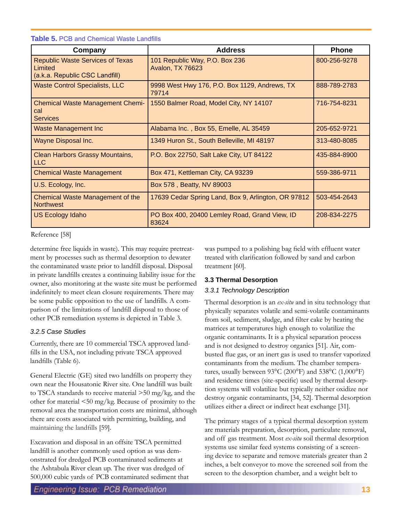| Company                                                                              | <b>Address</b>                                         | <b>Phone</b> |
|--------------------------------------------------------------------------------------|--------------------------------------------------------|--------------|
| <b>Republic Waste Services of Texas</b><br>Limited<br>(a.k.a. Republic CSC Landfill) | 101 Republic Way, P.O. Box 236<br>Avalon, TX 76623     | 800-256-9278 |
| <b>Waste Control Specialists, LLC</b>                                                | 9998 West Hwy 176, P.O. Box 1129, Andrews, TX<br>79714 | 888-789-2783 |
| <b>Chemical Waste Management Chemi-</b><br>cal<br><b>Services</b>                    | 1550 Balmer Road, Model City, NY 14107                 | 716-754-8231 |
| <b>Waste Management Inc.</b>                                                         | Alabama Inc., Box 55, Emelle, AL 35459                 | 205-652-9721 |
| <b>Wayne Disposal Inc.</b>                                                           | 1349 Huron St., South Belleville, MI 48197             | 313-480-8085 |
| <b>Clean Harbors Grassy Mountains,</b><br><b>LLC</b>                                 | P.O. Box 22750, Salt Lake City, UT 84122               | 435-884-8900 |
| <b>Chemical Waste Management</b>                                                     | Box 471, Kettleman City, CA 93239                      | 559-386-9711 |
| U.S. Ecology, Inc.                                                                   | Box 578, Beatty, NV 89003                              |              |
| Chemical Waste Management of the<br><b>Northwest</b>                                 | 17639 Cedar Spring Land, Box 9, Arlington, OR 97812    | 503-454-2643 |
| <b>US Ecology Idaho</b>                                                              | PO Box 400, 20400 Lemley Road, Grand View, ID<br>83624 | 208-834-2275 |

**Table 5.** PCB and Chemical Waste Landfills

Reference [58]

determine free liquids in waste). This may require pretreatment by processes such as thermal desorption to dewater the contaminated waste prior to landfill disposal. Disposal in private landfills creates a continuing liability issue for the owner, also monitoring at the waste site must be performed indefinitely to meet clean closure requirements. There may be some public opposition to the use of landfills. A comparison of the limitations of landfill disposal to those of other PCB remediation systems is depicted in Table 3.

## *3.2.5 Case Studies*

Currently, there are 10 commercial TSCA approved landfills in the USA, not including private TSCA approved landfills (Table 6).

General Electric (GE) sited two landfills on property they own near the Housatonic River site. One landfill was built to TSCA standards to receive material >50 mg/kg, and the other for material <50 mg/kg. Because of proximity to the removal area the transportation costs are minimal, although there are costs associated with permitting, building, and maintaining the landfills [59].

Excavation and disposal in an offsite TSCA permitted landfill is another commonly used option as was demonstrated for dredged PCB contaminated sediments at the Ashtabula River clean up. The river was dredged of 500,000 cubic yards of PCB contaminated sediment that was pumped to a polishing bag field with effluent water treated with clarification followed by sand and carbon treatment [60].

## **3.3 Thermal Desorption**

## *3.3.1 Technology Description*

Thermal desorption is an *ex-situ* and in situ technology that physically separates volatile and semi-volatile contaminants from soil, sediment, sludge, and filter cake by heating the matrices at temperatures high enough to volatilize the organic contaminants. It is a physical separation process and is not designed to destroy organics [51]. Air, combusted flue gas, or an inert gas is used to transfer vaporized contaminants from the medium. The chamber temperatures, usually between 93°C (200°F) and 538°C (1,000°F) and residence times (site-specific) used by thermal desorption systems will volatilize but typically neither oxidize nor destroy organic contaminants, [34, 52]. Thermal desorption utilizes either a direct or indirect heat exchange [31].

The primary stages of a typical thermal desorption system are materials preparation, desorption, particulate removal, and off gas treatment. Most *ex-situ* soil thermal desorption systems use similar feed systems consisting of a screening device to separate and remove materials greater than 2 inches, a belt conveyor to move the screened soil from the screen to the desorption chamber, and a weight belt to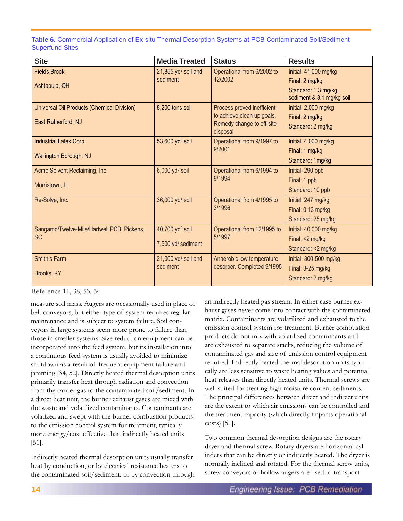**Table 6.** Commercial Application of Ex-situ Thermal Desorption Systems at PCB Contaminated Soil/Sediment Superfund Sites

| <b>Site</b>                                | <b>Media Treated</b>           | <b>Status</b>                                           | <b>Results</b>            |
|--------------------------------------------|--------------------------------|---------------------------------------------------------|---------------------------|
| <b>Fields Brook</b>                        | 21,855 $yd^3$ soil and         | Operational from 6/2002 to                              | Initial: 41,000 mg/kg     |
| Ashtabula, OH                              | sediment                       | 12/2002                                                 | Final: 2 mg/kg            |
|                                            |                                |                                                         | Standard: 1.3 mg/kg       |
|                                            |                                |                                                         | sediment & 3.1 mg/kg soil |
| Universal Oil Products (Chemical Division) | 8,200 tons soil                | Process proved inefficient                              | Initial: 2,000 mg/kg      |
| East Rutherford, NJ                        |                                | to achieve clean up goals.<br>Remedy change to off-site | Final: 2 mg/kg            |
|                                            |                                | disposal                                                | Standard: 2 mg/kg         |
| Industrial Latex Corp.                     | 53,600 $yd^3$ soil             | Operational from 9/1997 to                              | Initial: 4,000 mg/kg      |
|                                            |                                | 9/2001                                                  | Final: 1 mg/kg            |
| Wallington Borough, NJ                     |                                |                                                         | Standard: 1mg/kg          |
| Acme Solvent Reclaiming, Inc.              | $6,000$ yd <sup>3</sup> soil   | Operational from 6/1994 to                              | Initial: 290 ppb          |
| Morristown, IL                             |                                | 9/1994                                                  | Final: 1 ppb              |
|                                            |                                |                                                         | Standard: 10 ppb          |
| Re-Solve, Inc.                             | $36,000$ yd <sup>3</sup> soil  | Operational from 4/1995 to                              | Initial: 247 mg/kg        |
|                                            |                                | 3/1996                                                  | Final: 0.13 mg/kg         |
|                                            |                                |                                                         | Standard: 25 mg/kg        |
| Sangamo/Twelve-Mile/Hartwell PCB, Pickens, | 40,700 yd <sup>3</sup> soil    | Operational from 12/1995 to                             | Initial: 40,000 mg/kg     |
| <b>SC</b>                                  |                                | 5/1997                                                  | Final: <2 mg/kg           |
|                                            | 7,500 yd <sup>3</sup> sediment |                                                         | Standard: <2 mg/kg        |
| <b>Smith's Farm</b>                        | 21,000 $yd^3$ soil and         | Anaerobic low temperature                               | Initial: 300-500 mg/kg    |
|                                            | sediment                       | desorber. Completed 9/1995                              | Final: 3-25 mg/kg         |
| Brooks, KY                                 |                                |                                                         | Standard: 2 mg/kg         |

Reference 11, 38, 53, 54

measure soil mass. Augers are occasionally used in place of belt conveyors, but either type of system requires regular maintenance and is subject to system failure. Soil conveyors in large systems seem more prone to failure than those in smaller systems. Size reduction equipment can be incorporated into the feed system, but its installation into a continuous feed system is usually avoided to minimize shutdown as a result of frequent equipment failure and jamming [34, 52]. Directly heated thermal desorption units primarily transfer heat through radiation and convection from the carrier gas to the contaminated soil/sediment. In a direct heat unit, the burner exhaust gases are mixed with the waste and volatilized contaminants. Contaminants are volatized and swept with the burner combustion products to the emission control system for treatment, typically more energy/cost effective than indirectly heated units [51].

Indirectly heated thermal desorption units usually transfer heat by conduction, or by electrical resistance heaters to the contaminated soil/sediment, or by convection through an indirectly heated gas stream. In either case burner exhaust gases never come into contact with the contaminated matrix. Contaminants are volatilized and exhausted to the emission control system for treatment. Burner combustion products do not mix with volatilized contaminants and are exhausted to separate stacks, reducing the volume of contaminated gas and size of emission control equipment required. Indirectly heated thermal desorption units typically are less sensitive to waste heating values and potential heat releases than directly heated units. Thermal screws are well suited for treating high moisture content sediments. The principal differences between direct and indirect units are the extent to which air emissions can be controlled and the treatment capacity (which directly impacts operational costs) [51].

Two common thermal desorption designs are the rotary dryer and thermal screw. Rotary dryers are horizontal cylinders that can be directly or indirectly heated. The dryer is normally inclined and rotated. For the thermal screw units, screw conveyors or hollow augers are used to transport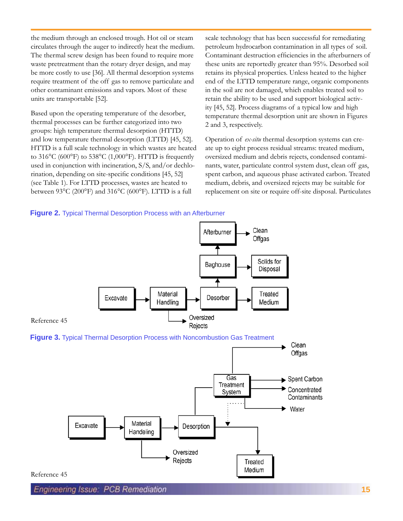the medium through an enclosed trough. Hot oil or steam circulates through the auger to indirectly heat the medium. The thermal screw design has been found to require more waste pretreatment than the rotary dryer design, and may be more costly to use [36]. All thermal desorption systems require treatment of the off gas to remove particulate and other contaminant emissions and vapors. Most of these units are transportable [52].

Based upon the operating temperature of the desorber, thermal processes can be further categorized into two groups: high temperature thermal desorption (HTTD) and low temperature thermal desorption (LTTD) [45, 52]. HTTD is a full scale technology in which wastes are heated to  $316^{\circ}$ C (600°F) to  $538^{\circ}$ C (1,000°F). HTTD is frequently used in conjunction with incineration, S/S, and/or dechlorination, depending on site-specific conditions [45, 52] (see Table 1). For LTTD processes, wastes are heated to between 93°C (200°F) and 316°C (600°F). LTTD is a full

scale technology that has been successful for remediating petroleum hydrocarbon contamination in all types of soil. Contaminant destruction efficiencies in the afterburners of these units are reportedly greater than 95%. Desorbed soil retains its physical properties. Unless heated to the higher end of the LTTD temperature range, organic components in the soil are not damaged, which enables treated soil to retain the ability to be used and support biological activity [45, 52]. Process diagrams of a typical low and high temperature thermal desorption unit are shown in Figures 2 and 3, respectively.

Operation of *ex-situ* thermal desorption systems can create up to eight process residual streams: treated medium, oversized medium and debris rejects, condensed contaminants, water, particulate control system dust, clean off gas, spent carbon, and aqueous phase activated carbon. Treated medium, debris, and oversized rejects may be suitable for replacement on site or require off-site disposal. Particulates

### **Figure 2.** Typical Thermal Desorption Process with an Afterburner

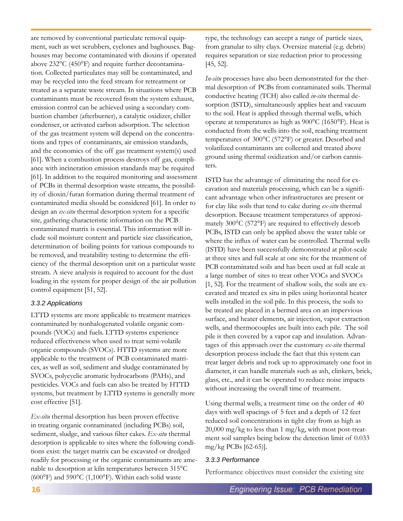are removed by conventional particulate removal equipment, such as wet scrubbers, cyclones and baghouses. Baghouses may become contaminated with dioxins if operated above 232°C (450°F) and require further decontamination. Collected particulates may still be contaminated, and may be recycled into the feed stream for retreatment or treated as a separate waste stream. In situations where PCB contaminants must be recovered from the system exhaust, emission control can be achieved using a secondary combustion chamber (afterburner), a catalytic oxidizer, chiller condenser, or activated carbon adsorption. The selection of the gas treatment system will depend on the concentrations and types of contaminants, air emission standards, and the economics of the off gas treatment system(s) used [61]. When a combustion process destroys off gas, compliance with incineration emission standards may be required [61]. In addition to the required monitoring and assessment of PCBs in thermal desorption waste streams, the possibility of dioxin/furan formation during thermal treatment of contaminated media should be considered [61]. In order to design an *ex-situ* thermal desorption system for a specific site, gathering characteristic information on the PCB contaminated matrix is essential. This information will include soil moisture content and particle size classification, determination of boiling points for various compounds to be removed, and treatability testing to determine the efficiency of the thermal desorption unit on a particular waste stream. A sieve analysis is required to account for the dust loading in the system for proper design of the air pollution control equipment [51, 52].

## *3.3.2 Applications*

LTTD systems are more applicable to treatment matrices contaminated by nonhalogenated volatile organic compounds (VOCs) and fuels. LTTD systems experience reduced effectiveness when used to treat semi-volatile organic compounds (SVOCs). HTTD systems are more applicable to the treatment of PCB contaminated matrices, as well as soil, sediment and sludge contaminated by SVOCs, polycyclic aromatic hydrocarbons (PAHs), and pesticides. VOCs and fuels can also be treated by HTTD systems, but treatment by LTTD systems is generally more cost effective [51].

*Ex-situ* thermal desorption has been proven effective in treating organic contaminated (including PCBs) soil, sediment, sludge, and various filter cakes. *Ex-situ* thermal desorption is applicable to sites where the following conditions exist: the target matrix can be excavated or dredged readily for processing or the organic contaminants are amenable to desorption at kiln temperatures between 315°C (600°F) and 590°C (1,100°F). Within each solid waste

type, the technology can accept a range of particle sizes, from granular to silty clays. Oversize material (e.g. debris) requires separation or size reduction prior to processing [45, 52].

*In-situ* processes have also been demonstrated for the thermal desorption of PCBs from contaminated soils. Thermal conductive heating (TCH) also called *in-situ* thermal desorption (ISTD), simultaneously applies heat and vacuum to the soil. Heat is applied through thermal wells, which operate at temperatures as high as 900°C (1650°F). Heat is conducted from the wells into the soil, reaching treatment temperatures of 300°C (572°F) or greater. Desorbed and volatilized contaminants are collected and treated above ground using thermal oxidization and/or carbon cannisters.

ISTD has the advantage of eliminating the need for excavation and materials processing, which can be a significant advantage when other infrastructures are present or for clay like soils that tend to cake during *ex-situ* thermal desorption. Because treatment temperatures of approximately 300°C (572°F) are required to effectively desorb PCBs, ISTD can only be applied above the water table or where the influx of water can be controlled. Thermal wells (ISTD) have been successfully demonstrated at pilot-scale at three sites and full scale at one site for the treatment of PCB contaminated soils and has been used at full scale at a large number of sites to treat other VOCs and SVOCs [1, 52]. For the treatment of shallow soils, the soils are excavated and treated ex situ in piles using horizontal heater wells installed in the soil pile. In this process, the soils to be treated are placed in a bermed area on an impervious surface, and heater elements, air injection, vapor extraction wells, and thermocouples are built into each pile. The soil pile is then covered by a vapor cap and insulation. Advantages of this approach over the customary *ex-situ* thermal desorption process include the fact that this system can treat larger debris and rock up to approximately one foot in diameter, it can handle materials such as ash, clinkers, brick, glass, etc., and it can be operated to reduce noise impacts without increasing the overall time of treatment.

Using thermal wells, a treatment time on the order of 40 days with well spacings of 5 feet and a depth of 12 feet reduced soil concentrations in tight clay from as high as 20,000 mg/kg to less than 1 mg/kg, with most post-treatment soil samples being below the detection limit of 0.033 mg/kg PCBs [62-65)].

## *3.3.3 Performance*

Performance objectives must consider the existing site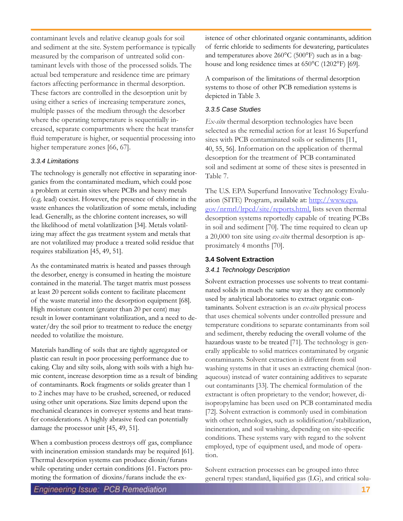contaminant levels and relative cleanup goals for soil and sediment at the site. System performance is typically measured by the comparison of untreated solid contaminant levels with those of the processed solids. The actual bed temperature and residence time are primary factors affecting performance in thermal desorption. These factors are controlled in the desorption unit by using either a series of increasing temperature zones, multiple passes of the medium through the desorber where the operating temperature is sequentially increased, separate compartments where the heat transfer fluid temperature is higher, or sequential processing into higher temperature zones [66, 67].

## *3.3.4 Limitations*

The technology is generally not effective in separating inorganics from the contaminated medium, which could pose a problem at certain sites where PCBs and heavy metals (e.g. lead) coexist. However, the presence of chlorine in the waste enhances the volatilization of some metals, including lead. Generally, as the chlorine content increases, so will the likelihood of metal volatilization [34]. Metals volatilizing may affect the gas treatment system and metals that are not volatilized may produce a treated solid residue that requires stabilization [45, 49, 51].

As the contaminated matrix is heated and passes through the desorber, energy is consumed in heating the moisture contained in the material. The target matrix must possess at least 20 percent solids content to facilitate placement of the waste material into the desorption equipment [68]. High moisture content (greater than 20 per cent) may result in lower contaminant volatilization, and a need to dewater/dry the soil prior to treatment to reduce the energy needed to volatilize the moisture.

Materials handling of soils that are tightly aggregated or plastic can result in poor processing performance due to caking. Clay and silty soils, along with soils with a high humic content, increase desorption time as a result of binding of contaminants. Rock fragments or solids greater than 1 to 2 inches may have to be crushed, screened, or reduced using other unit operations. Size limits depend upon the mechanical clearances in conveyer systems and heat transfer considerations. A highly abrasive feed can potentially damage the processor unit [45, 49, 51].

When a combustion process destroys off gas, compliance with incineration emission standards may be required [61]. Thermal desorption systems can produce dioxin/furans while operating under certain conditions [61. Factors promoting the formation of dioxins/furans include the existence of other chlorinated organic contaminants, addition of ferric chloride to sediments for dewatering, particulates and temperatures above 260°C (500°F) such as in a baghouse and long residence times at 650°C (1202°F) [69].

A comparison of the limitations of thermal desorption systems to those of other PCB remediation systems is depicted in Table 3.

## *3.3.5 Case Studies*

*Ex-situ* thermal desorption technologies have been selected as the remedial action for at least 16 Superfund sites with PCB contaminated soils or sediments [11, 40, 55, 56]. Information on the application of thermal desorption for the treatment of PCB contaminated soil and sediment at some of these sites is presented in Table 7.

The U.S. EPA Superfund Innovative Technology Evaluation (SITE) Program, available at: http://www.epa. gov/nrmrl/lrpcd/site/reports.html, lists seven thermal desorption systems reportedly capable of treating PCBs in soil and sediment [70]. The time required to clean up a 20,000 ton site using *ex-situ* thermal desorption is approximately 4 months [70].

## **3.4 Solvent Extraction**

## *3.4.1 Technology Description*

Solvent extraction processes use solvents to treat contaminated solids in much the same way as they are commonly used by analytical laboratories to extract organic contaminants. Solvent extraction is an *ex-situ* physical process that uses chemical solvents under controlled pressure and temperature conditions to separate contaminants from soil and sediment, thereby reducing the overall volume of the hazardous waste to be treated [71]. The technology is generally applicable to solid matrices contaminated by organic contaminants. Solvent extraction is different from soil washing systems in that it uses an extracting chemical (nonaqueous) instead of water containing additives to separate out contaminants [33]. The chemical formulation of the extractant is often proprietary to the vendor; however, diisopropylamine has been used on PCB contaminated media [72]. Solvent extraction is commonly used in combination with other technologies, such as solidification/stabilization, incineration, and soil washing, depending on site-specific conditions. These systems vary with regard to the solvent employed, type of equipment used, and mode of operation.

Solvent extraction processes can be grouped into three general types: standard, liquified gas (LG), and critical solu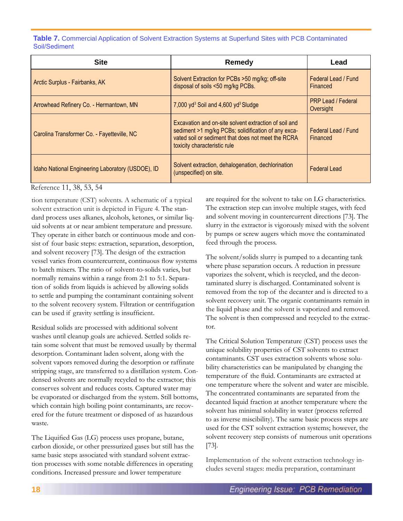**Table 7.** Commercial Application of Solvent Extraction Systems at Superfund Sites with PCB Contaminated Soil/Sediment

| <b>Site</b>                                       | Remedy                                                                                                                                                                                             | Lead                                   |
|---------------------------------------------------|----------------------------------------------------------------------------------------------------------------------------------------------------------------------------------------------------|----------------------------------------|
| Arctic Surplus - Fairbanks, AK                    | Solvent Extraction for PCBs >50 mg/kg; off-site<br>disposal of soils <50 mg/kg PCBs.                                                                                                               | Federal Lead / Fund<br>Financed        |
| Arrowhead Refinery Co. - Hermantown, MN           | 7,000 $yd^3$ Soil and 4,600 $yd^3$ Sludge                                                                                                                                                          | <b>PRP Lead / Federal</b><br>Oversight |
| Carolina Transformer Co. - Fayetteville, NC       | Excavation and on-site solvent extraction of soil and<br>sediment >1 mg/kg PCBs; solidification of any exca-<br>vated soil or sediment that does not meet the RCRA<br>toxicity characteristic rule | Federal Lead / Fund<br>Financed        |
| Idaho National Engineering Laboratory (USDOE), ID | Solvent extraction, dehalogenation, dechlorination<br>(unspecified) on site.                                                                                                                       | <b>Federal Lead</b>                    |

Reference 11, 38, 53, 54

tion temperature (CST) solvents. A schematic of a typical solvent extraction unit is depicted in Figure 4. The standard process uses alkanes, alcohols, ketones, or similar liquid solvents at or near ambient temperature and pressure. They operate in either batch or continuous mode and consist of four basic steps: extraction, separation, desorption, and solvent recovery [73]. The design of the extraction vessel varies from countercurrent, continuous flow systems to batch mixers. The ratio of solvent-to-solids varies, but normally remains within a range from 2:1 to 5:1. Separation of solids from liquids is achieved by allowing solids to settle and pumping the contaminant containing solvent to the solvent recovery system. Filtration or centrifugation can be used if gravity settling is insufficient.

Residual solids are processed with additional solvent washes until cleanup goals are achieved. Settled solids retain some solvent that must be removed usually by thermal desorption. Contaminant laden solvent, along with the solvent vapors removed during the desorption or raffinate stripping stage, are transferred to a distillation system. Condensed solvents are normally recycled to the extractor; this conserves solvent and reduces costs. Captured water may be evaporated or discharged from the system. Still bottoms, which contain high boiling point contaminants, are recovered for the future treatment or disposed of as hazardous waste.

The Liquified Gas (LG) process uses propane, butane, carbon dioxide, or other pressurized gases but still has the same basic steps associated with standard solvent extraction processes with some notable differences in operating conditions. Increased pressure and lower temperature

are required for the solvent to take on LG characteristics. The extraction step can involve multiple stages, with feed and solvent moving in countercurrent directions [73]. The slurry in the extractor is vigorously mixed with the solvent by pumps or screw augers which move the contaminated feed through the process.

The solvent/solids slurry is pumped to a decanting tank where phase separation occurs. A reduction in pressure vaporizes the solvent, which is recycled, and the decontaminated slurry is discharged. Contaminated solvent is removed from the top of the decanter and is directed to a solvent recovery unit. The organic contaminants remain in the liquid phase and the solvent is vaporized and removed. The solvent is then compressed and recycled to the extractor.

The Critical Solution Temperature (CST) process uses the unique solubility properties of CST solvents to extract contaminants. CST uses extraction solvents whose solubility characteristics can be manipulated by changing the temperature of the fluid. Contaminants are extracted at one temperature where the solvent and water are miscible. The concentrated contaminants are separated from the decanted liquid fraction at another temperature where the solvent has minimal solubility in water (process referred to as inverse miscibility). The same basic process steps are used for the CST solvent extraction systems; however, the solvent recovery step consists of numerous unit operations [73].

Implementation of the solvent extraction technology includes several stages: media preparation, contaminant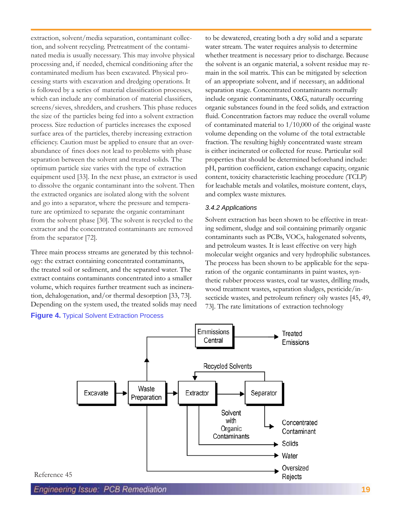extraction, solvent/media separation, contaminant collection, and solvent recycling. Pretreatment of the contaminated media is usually necessary. This may involve physical processing and, if needed, chemical conditioning after the contaminated medium has been excavated. Physical processing starts with excavation and dredging operations. It is followed by a series of material classification processes, which can include any combination of material classifiers, screens/sieves, shredders, and crushers. This phase reduces the size of the particles being fed into a solvent extraction process. Size reduction of particles increases the exposed surface area of the particles, thereby increasing extraction efficiency. Caution must be applied to ensure that an overabundance of fines does not lead to problems with phase separation between the solvent and treated solids. The optimum particle size varies with the type of extraction equipment used [33]. In the next phase, an extractor is used to dissolve the organic contaminant into the solvent. Then the extracted organics are isolated along with the solvent and go into a separator, where the pressure and temperature are optimized to separate the organic contaminant from the solvent phase [30]. The solvent is recycled to the extractor and the concentrated contaminants are removed from the separator [72].

Three main process streams are generated by this technology: the extract containing concentrated contaminants, the treated soil or sediment, and the separated water. The extract contains contaminants concentrated into a smaller volume, which requires further treatment such as incineration, dehalogenation, and/or thermal desorption [33, 73]. Depending on the system used, the treated solids may need **Figure 4.** Typical Solvent Extraction Process

to be dewatered, creating both a dry solid and a separate water stream. The water requires analysis to determine whether treatment is necessary prior to discharge. Because the solvent is an organic material, a solvent residue may remain in the soil matrix. This can be mitigated by selection of an appropriate solvent, and if necessary, an additional separation stage. Concentrated contaminants normally include organic contaminants, O&G, naturally occurring organic substances found in the feed solids, and extraction fluid. Concentration factors may reduce the overall volume of contaminated material to 1/10,000 of the original waste volume depending on the volume of the total extractable fraction. The resulting highly concentrated waste stream is either incinerated or collected for reuse. Particular soil properties that should be determined beforehand include: pH, partition coefficient, cation exchange capacity, organic content, toxicity characteristic leaching procedure (TCLP) for leachable metals and volatiles, moisture content, clays, and complex waste mixtures.

### *3.4.2 Applications*

Solvent extraction has been shown to be effective in treating sediment, sludge and soil containing primarily organic contaminants such as PCBs, VOCs, halogenated solvents, and petroleum wastes. It is least effective on very high molecular weight organics and very hydrophilic substances. The process has been shown to be applicable for the separation of the organic contaminants in paint wastes, synthetic rubber process wastes, coal tar wastes, drilling muds, wood treatment wastes, separation sludges, pesticide/insecticide wastes, and petroleum refinery oily wastes [45, 49, 73]. The rate limitations of extraction technology



Engineering Issue: PCB Remediation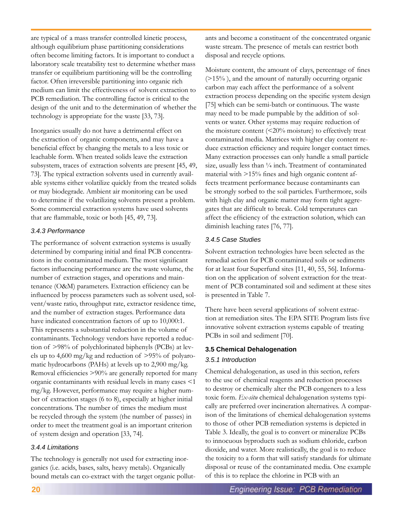are typical of a mass transfer controlled kinetic process, although equilibrium phase partitioning considerations often become limiting factors. It is important to conduct a laboratory scale treatability test to determine whether mass transfer or equilibrium partitioning will be the controlling factor. Often irreversible partitioning into organic rich medium can limit the effectiveness of solvent extraction to PCB remediation. The controlling factor is critical to the design of the unit and to the determination of whether the technology is appropriate for the waste [33, 73].

Inorganics usually do not have a detrimental effect on the extraction of organic components, and may have a beneficial effect by changing the metals to a less toxic or leachable form. When treated solids leave the extraction subsystem, traces of extraction solvents are present [45, 49, 73]. The typical extraction solvents used in currently available systems either volatilize quickly from the treated solids or may biodegrade. Ambient air monitoring can be used to determine if the volatilizing solvents present a problem. Some commercial extraction systems have used solvents that are flammable, toxic or both [45, 49, 73].

## *3.4.3 Performance*

The performance of solvent extraction systems is usually determined by comparing initial and final PCB concentrations in the contaminated medium. The most significant factors influencing performance are the waste volume, the number of extraction stages, and operations and maintenance (O&M) parameters. Extraction efficiency can be influenced by process parameters such as solvent used, solvent/waste ratio, throughput rate, extractor residence time, and the number of extraction stages. Performance data have indicated concentration factors of up to 10,000:1. This represents a substantial reduction in the volume of contaminants. Technology vendors have reported a reduction of >98% of polychlorinated biphenyls (PCBs) at levels up to  $4,600 \text{ mg/kg}$  and reduction of  $>95\%$  of polyaromatic hydrocarbons (PAHs) at levels up to 2,900 mg/kg. Removal efficiencies >90% are generally reported for many organic contaminants with residual levels in many cases <1 mg/kg. However, performance may require a higher number of extraction stages (6 to 8), especially at higher initial concentrations. The number of times the medium must be recycled through the system (the number of passes) in order to meet the treatment goal is an important criterion of system design and operation [33, 74].

## *3.4.4 Limitations*

The technology is generally not used for extracting inorganics (i.e. acids, bases, salts, heavy metals). Organically bound metals can co-extract with the target organic pollutants and become a constituent of the concentrated organic waste stream. The presence of metals can restrict both disposal and recycle options.

Moisture content, the amount of clays, percentage of fines (>15% ), and the amount of naturally occurring organic carbon may each affect the performance of a solvent extraction process depending on the specific system design [75] which can be semi-batch or continuous. The waste may need to be made pumpable by the addition of solvents or water. Other systems may require reduction of the moisture content  $(\leq 20\%$  moisture) to effectively treat contaminated media. Matrices with higher clay content reduce extraction efficiency and require longer contact times. Many extraction processes can only handle a small particle size, usually less than  $\frac{1}{4}$  inch. Treatment of contaminated material with >15% fines and high organic content affects treatment performance because contaminants can be strongly sorbed to the soil particles. Furthermore, soils with high clay and organic matter may form tight aggregates that are difficult to break. Cold temperatures can affect the efficiency of the extraction solution, which can diminish leaching rates [76, 77].

## *3.4.5 Case Studies*

Solvent extraction technologies have been selected as the remedial action for PCB contaminated soils or sediments for at least four Superfund sites [11, 40, 55, 56]. Information on the application of solvent extraction for the treatment of PCB contaminated soil and sediment at these sites is presented in Table 7.

There have been several applications of solvent extraction at remediation sites. The EPA SITE Program lists five innovative solvent extraction systems capable of treating PCBs in soil and sediment [70].

## **3.5 Chemical Dehalogenation**

## *3.5.1 Introduction*

Chemical dehalogenation, as used in this section, refers to the use of chemical reagents and reduction processes to destroy or chemically alter the PCB congeners to a less toxic form. *Ex-situ* chemical dehalogenation systems typically are preferred over incineration alternatives. A comparison of the limitations of chemical dehalogenation systems to those of other PCB remediation systems is depicted in Table 3. Ideally, the goal is to convert or mineralize PCBs to innocuous byproducts such as sodium chloride, carbon dioxide, and water. More realistically, the goal is to reduce the toxicity to a form that will satisfy standards for ultimate disposal or reuse of the contaminated media. One example of this is to replace the chlorine in PCB with an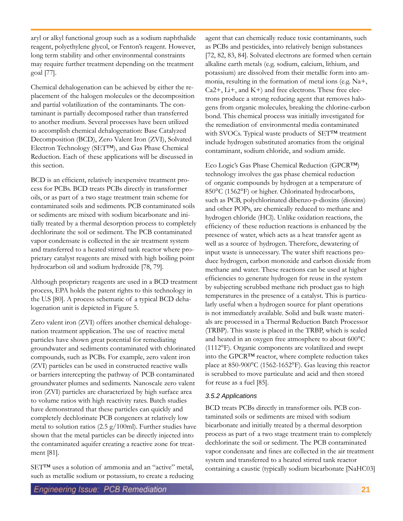aryl or alkyl functional group such as a sodium naphthalide reagent, polyethylene glycol, or Fenton's reagent. However, long term stability and other environmental constraints may require further treatment depending on the treatment goal [77].

Chemical dehalogenation can be achieved by either the replacement of the halogen molecules or the decomposition and partial volatilization of the contaminants. The contaminant is partially decomposed rather than transferred to another medium. Several processes have been utilized to accomplish chemical dehalogenation: Base Catalyzed Decomposition (BCD), Zero Valent Iron (ZVI), Solvated Electron Technology (SET™), and Gas Phase Chemical Reduction. Each of these applications will be discussed in this section.

BCD is an efficient, relatively inexpensive treatment process for PCBs. BCD treats PCBs directly in transformer oils, or as part of a two stage treatment train scheme for contaminated soils and sediments. PCB contaminated soils or sediments are mixed with sodium bicarbonate and initially treated by a thermal desorption process to completely dechlorinate the soil or sediment. The PCB contaminated vapor condensate is collected in the air treatment system and transferred to a heated stirred tank reactor where proprietary catalyst reagents are mixed with high boiling point hydrocarbon oil and sodium hydroxide [78, 79].

Although proprietary reagents are used in a BCD treatment process, EPA holds the patent rights to this technology in the U.S [80]. A process schematic of a typical BCD dehalogenation unit is depicted in Figure 5.

Zero valent iron (ZVI) offers another chemical dehalogenation treatment application. The use of reactive metal particles have shown great potential for remediating groundwater and sediments contaminated with chlorinated compounds, such as PCBs. For example, zero valent iron (ZVI) particles can be used in constructed reactive walls or barriers intercepting the pathway of PCB contaminated groundwater plumes and sediments. Nanoscale zero valent iron (ZVI) particles are characterized by high surface area to volume ratios with high reactivity rates. Batch studies have demonstrated that these particles can quickly and completely dechlorinate PCB congeners at relatively low metal to solution ratios (2.5 g/100ml). Further studies have shown that the metal particles can be directly injected into the contaminated aquifer creating a reactive zone for treatment [81].

SET™ uses a solution of ammonia and an "active" metal, such as metallic sodium or potassium, to create a reducing

agent that can chemically reduce toxic contaminants, such as PCBs and pesticides, into relatively benign substances [72, 82, 83, 84]. Solvated electrons are formed when certain alkaline earth metals (e.g. sodium, calcium, lithium, and potassium) are dissolved from their metallic form into ammonia, resulting in the formation of metal ions (e.g. Na+, Ca2+, Li+, and K+) and free electrons. These free electrons produce a strong reducing agent that removes halogens from organic molecules, breaking the chlorine-carbon bond. This chemical process was initially investigated for the remediation of environmental media contaminated with SVOCs. Typical waste products of SET™ treatment include hydrogen substituted aromatics from the original contaminant, sodium chloride, and sodium amide.

Eco Logic's Gas Phase Chemical Reduction (GPCR™) technology involves the gas phase chemical reduction of organic compounds by hydrogen at a temperature of 850°C (1562°F) or higher. Chlorinated hydrocarbons, such as PCB, polychlorinated dibenzo-p-dioxins (dioxins) and other POPs, are chemically reduced to methane and hydrogen chloride (HCl). Unlike oxidation reactions, the efficiency of these reduction reactions is enhanced by the presence of water, which acts as a heat transfer agent as well as a source of hydrogen. Therefore, dewatering of input waste is unnecessary. The water shift reactions produce hydrogen, carbon monoxide and carbon dioxide from methane and water. These reactions can be used at higher efficiencies to generate hydrogen for reuse in the system by subjecting scrubbed methane rich product gas to high temperatures in the presence of a catalyst. This is particularly useful when a hydrogen source for plant operations is not immediately available. Solid and bulk waste materials are processed in a Thermal Reduction Batch Processor (TRBP). This waste is placed in the TRBP, which is sealed and heated in an oxygen free atmosphere to about 600°C (1112°F). Organic components are volatilized and swept into the GPCR™ reactor, where complete reduction takes place at 850-900°C (1562-1652°F). Gas leaving this reactor is scrubbed to move particulate and acid and then stored for reuse as a fuel [85].

## *3.5.2 Applications*

BCD treats PCBs directly in transformer oils. PCB contaminated soils or sediments are mixed with sodium bicarbonate and initially treated by a thermal desorption process as part of a two stage treatment train to completely dechlorinate the soil or sediment. The PCB contaminated vapor condensate and fines are collected in the air treatment system and transferred to a heated stirred tank reactor containing a caustic (typically sodium bicarbonate [NaHC03]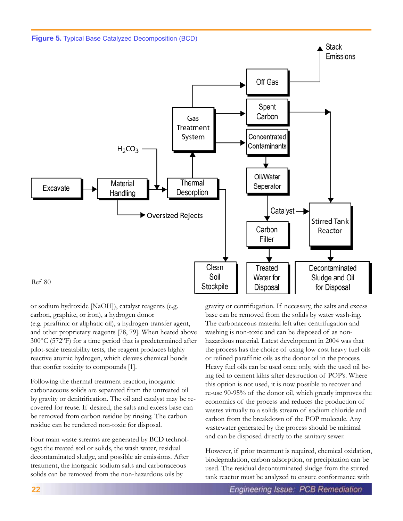



or sodium hydroxide [NaOH]), catalyst reagents (e.g. carbon, graphite, or iron), a hydrogen donor (e.g. paraffinic or aliphatic oil), a hydrogen transfer agent, and other proprietary reagents [78, 79]. When heated above 300°C (572°F) for a time period that is predetermined after pilot-scale treatability tests, the reagent produces highly reactive atomic hydrogen, which cleaves chemical bonds that confer toxicity to compounds [1].

Following the thermal treatment reaction, inorganic carbonaceous solids are separated from the untreated oil by gravity or denitrification. The oil and catalyst may be recovered for reuse. If desired, the salts and excess base can be removed from carbon residue by rinsing. The carbon residue can be rendered non-toxic for disposal.

Four main waste streams are generated by BCD technology: the treated soil or solids, the wash water, residual decontaminated sludge, and possible air emissions. After treatment, the inorganic sodium salts and carbonaceous solids can be removed from the non-hazardous oils by

gravity or centrifugation. If necessary, the salts and excess base can be removed from the solids by water wash-ing. The carbonaceous material left after centrifugation and washing is non-toxic and can be disposed of as nonhazardous material. Latest development in 2004 was that the process has the choice of using low cost heavy fuel oils or refined paraffinic oils as the donor oil in the process. Heavy fuel oils can be used once only, with the used oil being fed to cement kilns after destruction of POP's. Where this option is not used, it is now possible to recover and re-use 90-95% of the donor oil, which greatly improves the economics of the process and reduces the production of wastes virtually to a solids stream of sodium chloride and carbon from the breakdown of the POP molecule. Any wastewater generated by the process should be minimal and can be disposed directly to the sanitary sewer.

However, if prior treatment is required, chemical oxidation, biodegradation, carbon adsorption, or precipitation can be used. The residual decontaminated sludge from the stirred tank reactor must be analyzed to ensure conformance with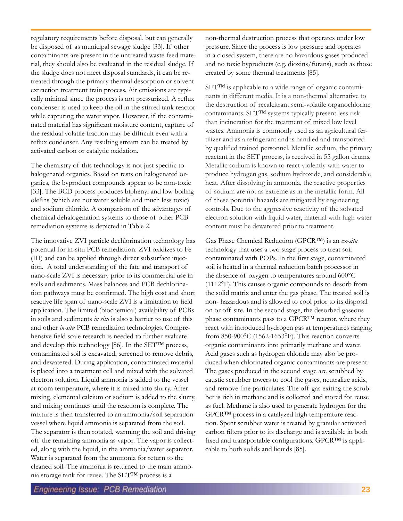regulatory requirements before disposal, but can generally be disposed of as municipal sewage sludge [33]. If other contaminants are present in the untreated waste feed material, they should also be evaluated in the residual sludge. If the sludge does not meet disposal standards, it can be retreated through the primary thermal desorption or solvent extraction treatment train process. Air emissions are typically minimal since the process is not pressurized. A reflux condenser is used to keep the oil in the stirred tank reactor while capturing the water vapor. However, if the contaminated material has significant moisture content, capture of the residual volatile fraction may be difficult even with a reflux condenser. Any resulting stream can be treated by activated carbon or catalytic oxidation.

The chemistry of this technology is not just specific to halogenated organics. Based on tests on halogenated organics, the byproduct compounds appear to be non-toxic [33]. The BCD process produces biphenyl and low boiling olefins (which are not water soluble and much less toxic) and sodium chloride. A comparison of the advantages of chemical dehalogenation systems to those of other PCB remediation systems is depicted in Table 2.

The innovative ZVI particle dechlorination technology has potential for in-situ PCB remediation. ZVI oxidizes to Fe (III) and can be applied through direct subsurface injection. A total understanding of the fate and transport of nano-scale ZVI is necessary prior to its commercial use in soils and sediments. Mass balances and PCB dechlorination pathways must be confirmed. The high cost and short reactive life span of nano-scale ZVI is a limitation to field application. The limited (biochemical) availability of PCBs in soils and sediments *in situ* is also a barrier to use of this and other *in-situ* PCB remediation technologies. Comprehensive field scale research is needed to further evaluate and develop this technology [86]. In the SET™ process, contaminated soil is excavated, screened to remove debris, and dewatered. During application, contaminated material is placed into a treatment cell and mixed with the solvated electron solution. Liquid ammonia is added to the vessel at room temperature, where it is mixed into slurry. After mixing, elemental calcium or sodium is added to the slurry, and mixing continues until the reaction is complete. The mixture is then transferred to an ammonia/soil separation vessel where liquid ammonia is separated from the soil. The separator is then rotated, warming the soil and driving off the remaining ammonia as vapor. The vapor is collected, along with the liquid, in the ammonia/water separator. Water is separated from the ammonia for return to the cleaned soil. The ammonia is returned to the main ammonia storage tank for reuse. The SET™ process is a

non-thermal destruction process that operates under low pressure. Since the process is low pressure and operates in a closed system, there are no hazardous gases produced and no toxic byproducts (e.g. dioxins/furans), such as those created by some thermal treatments [85].

SET™ is applicable to a wide range of organic contaminants in different media. It is a non-thermal alternative to the destruction of recalcitrant semi-volatile organochlorine contaminants. SET™ systems typically present less risk than incineration for the treatment of mixed low level wastes. Ammonia is commonly used as an agricultural fertilizer and as a refrigerant and is handled and transported by qualified trained personnel. Metallic sodium, the primary reactant in the SET process, is received in 55 gallon drums. Metallic sodium is known to react violently with water to produce hydrogen gas, sodium hydroxide, and considerable heat. After dissolving in ammonia, the reactive properties of sodium are not as extreme as in the metallic form. All of these potential hazards are mitigated by engineering controls. Due to the aggressive reactivity of the solvated electron solution with liquid water, material with high water content must be dewatered prior to treatment.

Gas Phase Chemical Reduction (GPCR™) is an *ex-situ* technology that uses a two stage process to treat soil contaminated with POPs. In the first stage, contaminated soil is heated in a thermal reduction batch processor in the absence of oxygen to temperatures around 600°C (1112°F). This causes organic compounds to desorb from the solid matrix and enter the gas phase. The treated soil is non- hazardous and is allowed to cool prior to its disposal on or off site. In the second stage, the desorbed gaseous phase contaminants pass to a GPCR™ reactor, where they react with introduced hydrogen gas at temperatures ranging from 850-900°C (1562-1653°F). This reaction converts organic contaminants into primarily methane and water. Acid gases such as hydrogen chloride may also be produced when chlorinated organic contaminants are present. The gases produced in the second stage are scrubbed by caustic scrubber towers to cool the gases, neutralize acids, and remove fine particulates. The off gas exiting the scrubber is rich in methane and is collected and stored for reuse as fuel. Methane is also used to generate hydrogen for the GPCR™ process in a catalyzed high temperature reaction. Spent scrubber water is treated by granular activated carbon filters prior to its discharge and is available in both fixed and transportable configurations. GPCR™ is applicable to both solids and liquids [85].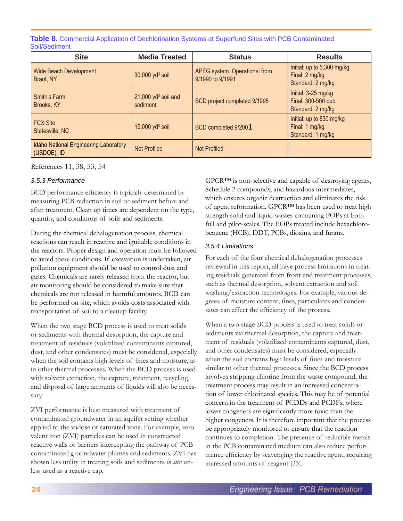**Table 8.** Commercial Application of Dechlorination Systems at Superfund Sites with PCB Contaminated Soil/Sediment

| <b>Site</b>                                          | <b>Media Treated</b>                          | <b>Status</b>                                     | <b>Results</b>                                                    |
|------------------------------------------------------|-----------------------------------------------|---------------------------------------------------|-------------------------------------------------------------------|
| <b>Wide Beach Development</b><br>Brant, NY           | $30,000$ yd <sup>3</sup> soil                 | APEG system. Operational from<br>9/1990 to 9/1991 | Initial: up to 5,300 mg/kg<br>Final: 2 mg/kg<br>Standard: 2 mg/kg |
| Smith's Farm<br>Brooks, KY                           | $21,000$ yd <sup>3</sup> soil and<br>sediment | BCD project completed 9/1995                      | Initial: 3-25 mg/kg<br>Final: 300-500 ppb<br>Standard: 2 mg/kg    |
| <b>FCX Site</b><br>Statesville, NC                   | $15,000$ yd <sup>3</sup> soil                 | BCD completed 9/2001                              | Initial: up to 830 mg/kg<br>Final: 1 mg/kg<br>Standard: 1 mg/kg   |
| Idaho National Engineering Laboratory<br>(USDOE), ID | <b>Not Profiled</b>                           | <b>Not Profiled</b>                               |                                                                   |

References 11, 38, 53, 54

## *3.5.3 Performance*

BCD performance efficiency is typically determined by measuring PCB reduction in soil or sediment before and after treatment. Clean up times are dependent on the type, quantity, and conditions of soils and sediments.

During the chemical dehalogenation process, chemical reactions can result in reactive and ignitable conditions in the reactors. Proper design and operation must be followed to avoid these conditions. If excavation is undertaken, air pollution equipment should be used to control dust and gases. Chemicals are rarely released from the reactor, but air monitoring should be considered to make sure that chemicals are not released in harmful amounts. BCD can be performed on site, which avoids costs associated with transportation of soil to a cleanup facility.

When the two stage BCD process is used to treat solids or sediments with thermal desorption, the capture and treatment of residuals (volatilized contaminants captured, dust, and other condensates) must be considered, especially when the soil contains high levels of fines and moisture, as in other thermal processes. When the BCD process is used with solvent extraction, the capture, treatment, recycling, and disposal of large amounts of liquids will also be necessary.

ZVI performance is best measured with treatment of contaminated groundwater in an aquifer setting whether applied to the vadose or saturated zone. For example, zero valent iron (ZVI) particles can be used in constructed reactive walls or barriers intercepting the pathway of PCB contaminated groundwater plumes and sediments. ZVI has shown less utility in treating soils and sediments *in situ* unless used as a reactive cap.

GPCR™ is non-selective and capable of destroying agents, Schedule 2 compounds, and hazardous intermediates, which ensures organic destruction and eliminates the risk of agent reformation. GPCR™ has been used to treat high strength solid and liquid wastes containing POPs at both full and pilot-scales. The POPs treated include hexachlorobenzene (HCB), DDT, PCBs, dioxins, and furans.

## *3.5.4 Limitations*

For each of the four chemical dehalogenation processes reviewed in this report, all have process limitations in treating residuals generated from front end treatment processes, such as thermal desorption, solvent extraction and soil washing/extraction technologies. For example, various degrees of moisture content, fines, particulates and condensates can affect the efficiency of the process.

When a two stage BCD process is used to treat solids or sediments via thermal desorption, the capture and treatment of residuals (volatilized contaminants captured, dust, and other condensates) must be considered, especially when the soil contains high levels of fines and moisture similar to other thermal processes. Since the BCD process involves stripping chlorine from the waste compound, the treatment process may result in an increased concentration of lower chlorinated species. This may be of potential concern in the treatment of PCDDs and PCDFs, where lower congeners are significantly more toxic than the higher congeners. It is therefore important that the process be appropriately monitored to ensure that the reaction continues to completion. The presence of reducible metals in the PCB contaminated medium can also reduce performance efficiency by scavenging the reactive agent, requiring increased amounts of reagent [33].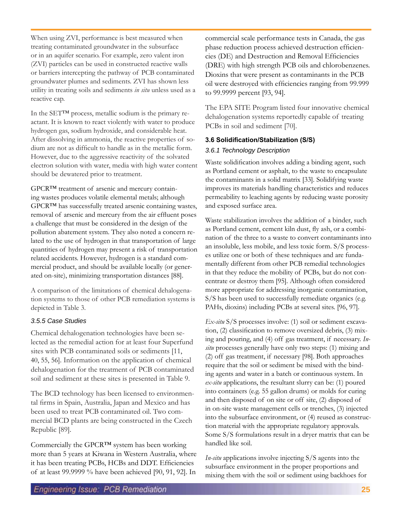When using ZVI, performance is best measured when treating contaminated groundwater in the subsurface or in an aquifer scenario. For example, zero valent iron (ZVI) particles can be used in constructed reactive walls or barriers intercepting the pathway of PCB contaminated groundwater plumes and sediments. ZVI has shown less utility in treating soils and sediments *in situ* unless used as a reactive cap.

In the SET™ process, metallic sodium is the primary reactant. It is known to react violently with water to produce hydrogen gas, sodium hydroxide, and considerable heat. After dissolving in ammonia, the reactive properties of sodium are not as difficult to handle as in the metallic form. However, due to the aggressive reactivity of the solvated electron solution with water, media with high water content should be dewatered prior to treatment.

GPCR™ treatment of arsenic and mercury containing wastes produces volatile elemental metals; although GPCR™ has successfully treated arsenic containing wastes, removal of arsenic and mercury from the air effluent poses a challenge that must be considered in the design of the pollution abatement system. They also noted a concern related to the use of hydrogen in that transportation of large quantities of hydrogen may present a risk of transportation related accidents. However, hydrogen is a standard commercial product, and should be available locally (or generated on-site), minimizing transportation distances [88].

A comparison of the limitations of chemical dehalogenation systems to those of other PCB remediation systems is depicted in Table 3.

## *3.5.5 Case Studies*

Chemical dehalogenation technologies have been selected as the remedial action for at least four Superfund sites with PCB contaminated soils or sediments [11, 40, 55, 56]. Information on the application of chemical dehalogenation for the treatment of PCB contaminated soil and sediment at these sites is presented in Table 9.

The BCD technology has been licensed to environmental firms in Spain, Australia, Japan and Mexico and has been used to treat PCB contaminated oil. Two commercial BCD plants are being constructed in the Czech Republic [89].

Commercially the GPCR™ system has been working more than 5 years at Kiwana in Western Australia, where it has been treating PCBs, HCBs and DDT. Efficiencies of at least 99.9999 % have been achieved [90, 91, 92]. In

commercial scale performance tests in Canada, the gas phase reduction process achieved destruction efficiencies (DE) and Destruction and Removal Efficiencies (DRE) with high strength PCB oils and chlorobenzenes. Dioxins that were present as contaminants in the PCB oil were destroyed with efficiencies ranging from 99.999 to 99.9999 percent [93, 94].

The EPA SITE Program listed four innovative chemical dehalogenation systems reportedly capable of treating PCBs in soil and sediment [70].

## **3.6 Solidification/Stabilization (S/S)**

## *3.6.1 Technology Description*

Waste solidification involves adding a binding agent, such as Portland cement or asphalt, to the waste to encapsulate the contaminants in a solid matrix [33]. Solidifying waste improves its materials handling characteristics and reduces permeability to leaching agents by reducing waste porosity and exposed surface area.

Waste stabilization involves the addition of a binder, such as Portland cement, cement kiln dust, fly ash, or a combination of the three to a waste to convert contaminants into an insoluble, less mobile, and less toxic form. S/S processes utilize one or both of these techniques and are fundamentally different from other PCB remedial technologies in that they reduce the mobility of PCBs, but do not concentrate or destroy them [95]. Although often considered more appropriate for addressing inorganic contamination, S/S has been used to successfully remediate organics (e.g. PAHs, dioxins) including PCBs at several sites. [96, 97].

*Ex-situ* S/S processes involve: (1) soil or sediment excavation, (2) classification to remove oversized debris, (3) mixing and pouring, and (4) off gas treatment, if necessary. *Insitu* processes generally have only two steps: (1) mixing and (2) off gas treatment, if necessary [98]. Both approaches require that the soil or sediment be mixed with the binding agents and water in a batch or continuous system. In *ex-situ* applications, the resultant slurry can be: (1) poured into containers (e.g. 55 gallon drums) or molds for curing and then disposed of on site or off site, (2) disposed of in on-site waste management cells or trenches, (3) injected into the subsurface environment, or (4) reused as construction material with the appropriate regulatory approvals. Some S/S formulations result in a dryer matrix that can be handled like soil.

*In-situ* applications involve injecting S/S agents into the subsurface environment in the proper proportions and mixing them with the soil or sediment using backhoes for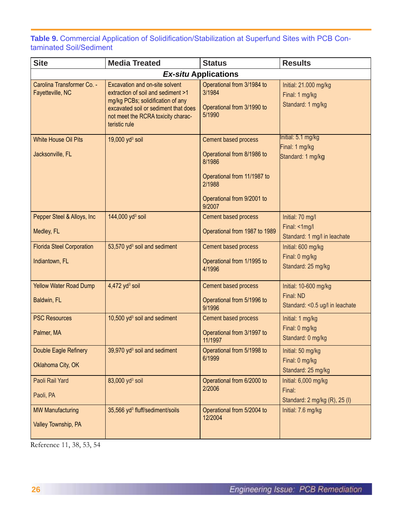**Table 9.** Commercial Application of Solidification/Stabilization at Superfund Sites with PCB Contaminated Soil/Sediment

| <b>Site</b>                                        | <b>Media Treated</b>                                                                                                                                                                                     | <b>Status</b>                                                                                                                                 | <b>Results</b>                                                         |
|----------------------------------------------------|----------------------------------------------------------------------------------------------------------------------------------------------------------------------------------------------------------|-----------------------------------------------------------------------------------------------------------------------------------------------|------------------------------------------------------------------------|
|                                                    |                                                                                                                                                                                                          | <b>Ex-situ Applications</b>                                                                                                                   |                                                                        |
| Carolina Transformer Co. -<br>Fayetteville, NC     | Excavation and on-site solvent<br>extraction of soil and sediment >1<br>mg/kg PCBs; solidification of any<br>excavated soil or sediment that does<br>not meet the RCRA toxicity charac-<br>teristic rule | Operational from 3/1984 to<br>3/1984<br>Operational from 3/1990 to<br>5/1990                                                                  | Initial: 21.000 mg/kg<br>Final: 1 mg/kg<br>Standard: 1 mg/kg           |
| <b>White House Oil Pits</b><br>Jacksonville, FL    | 19,000 $yd^3$ soil                                                                                                                                                                                       | Cement based process<br>Operational from 8/1986 to<br>8/1986<br>Operational from 11/1987 to<br>2/1988<br>Operational from 9/2001 to<br>9/2007 | Initial: 5.1 mg/kg<br>Final: 1 mg/kg<br>Standard: 1 mg/kg              |
| Pepper Steel & Alloys, Inc.<br>Medley, FL          | 144,000 yd <sup>3</sup> soil                                                                                                                                                                             | Cement based process<br>Operational from 1987 to 1989                                                                                         | Initial: 70 mg/l<br>Final: <1mg/l<br>Standard: 1 mg/l in leachate      |
| <b>Florida Steel Corporation</b><br>Indiantown, FL | 53,570 yd <sup>3</sup> soil and sediment                                                                                                                                                                 | Cement based process<br>Operational from 1/1995 to<br>4/1996                                                                                  | Initial: 600 mg/kg<br>Final: 0 mg/kg<br>Standard: 25 mg/kg             |
| <b>Yellow Water Road Dump</b><br>Baldwin, FL       | $4,472$ yd <sup>3</sup> soil                                                                                                                                                                             | Cement based process<br>Operational from 5/1996 to<br>9/1996                                                                                  | Initial: 10-600 mg/kg<br>Final: ND<br>Standard: < 0.5 ug/l in leachate |
| <b>PSC Resources</b><br>Palmer, MA                 | 10,500 yd <sup>3</sup> soil and sediment                                                                                                                                                                 | Cement based process<br>Operational from 3/1997 to<br>11/1997                                                                                 | Initial: 1 mg/kg<br>Final: 0 mg/kg<br>Standard: 0 mg/kg                |
| Double Eagle Refinery<br>Oklahoma City, OK         | 39,970 yd <sup>3</sup> soil and sediment                                                                                                                                                                 | Operational from 5/1998 to<br>6/1999                                                                                                          | Initial: 50 mg/kg<br>Final: 0 mg/kg<br>Standard: 25 mg/kg              |
| Paoli Rail Yard<br>Paoli, PA                       | 83,000 yd <sup>3</sup> soil                                                                                                                                                                              | Operational from 6/2000 to<br>2/2006                                                                                                          | Initial: 6,000 mg/kg<br>Final:<br>Standard: 2 mg/kg (R), 25 (I)        |
| <b>MW Manufacturing</b><br>Valley Township, PA     | 35,566 yd <sup>3</sup> fluff/sediment/soils                                                                                                                                                              | Operational from 5/2004 to<br>12/2004                                                                                                         | Initial: 7.6 mg/kg                                                     |

Reference 11, 38, 53, 54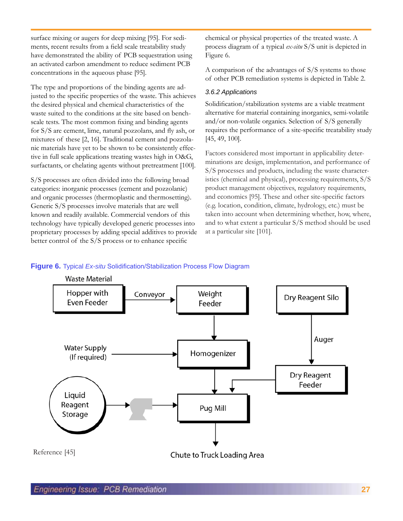surface mixing or augers for deep mixing [95]. For sediments, recent results from a field scale treatability study have demonstrated the ability of PCB sequestration using an activated carbon amendment to reduce sediment PCB concentrations in the aqueous phase [95].

The type and proportions of the binding agents are adjusted to the specific properties of the waste. This achieves the desired physical and chemical characteristics of the waste suited to the conditions at the site based on benchscale tests. The most common fixing and binding agents for S/S are cement, lime, natural pozzolans, and fly ash, or mixtures of these [2, 16]. Traditional cement and pozzolanic materials have yet to be shown to be consistently effective in full scale applications treating wastes high in O&G, surfactants, or chelating agents without pretreatment [100].

S/S processes are often divided into the following broad categories: inorganic processes (cement and pozzolanic) and organic processes (thermoplastic and thermosetting). Generic S/S processes involve materials that are well known and readily available. Commercial vendors of this technology have typically developed generic processes into proprietary processes by adding special additives to provide better control of the S/S process or to enhance specific

chemical or physical properties of the treated waste. A process diagram of a typical *ex-situ* S/S unit is depicted in Figure 6.

A comparison of the advantages of S/S systems to those of other PCB remediation systems is depicted in Table 2.

## *3.6.2 Applications*

Solidification/stabilization systems are a viable treatment alternative for material containing inorganics, semi-volatile and/or non-volatile organics. Selection of S/S generally requires the performance of a site-specific treatability study [45, 49, 100].

Factors considered most important in applicability determinations are design, implementation, and performance of S/S processes and products, including the waste characteristics (chemical and physical), processing requirements, S/S product management objectives, regulatory requirements, and economics [95]. These and other site-specific factors (e.g. location, condition, climate, hydrology, etc.) must be taken into account when determining whether, how, where, and to what extent a particular S/S method should be used at a particular site [101].

### **Figure 6.** Typical *Ex-situ* Solidification/Stabilization Process Flow Diagram

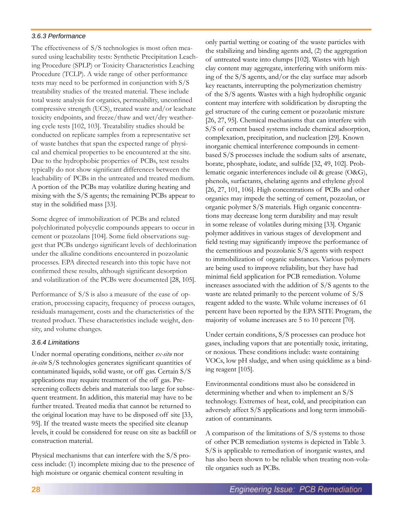## *3.6.3 Performance*

The effectiveness of S/S technologies is most often measured using leachability tests: Synthetic Precipitation Leaching Procedure (SPLP) or Toxicity Characteristics Leaching Procedure (TCLP). A wide range of other performance tests may need to be performed in conjunction with S/S treatability studies of the treated material. These include total waste analysis for organics, permeability, unconfined compressive strength (UCS), treated waste and/or leachate toxicity endpoints, and freeze/thaw and wet/dry weathering cycle tests [102, 103]. Treatability studies should be conducted on replicate samples from a representative set of waste batches that span the expected range of physical and chemical properties to be encountered at the site. Due to the hydrophobic properties of PCBs, test results typically do not show significant differences between the leachability of PCBs in the untreated and treated medium. A portion of the PCBs may volatilize during heating and mixing with the S/S agents; the remaining PCBs appear to stay in the solidified mass [33].

Some degree of immobilization of PCBs and related polychlorinated polycyclic compounds appears to occur in cement or pozzolans [104]. Some field observations suggest that PCBs undergo significant levels of dechlorination under the alkaline conditions encountered in pozzolanic processes. EPA directed research into this topic have not confirmed these results, although significant desorption and volatilization of the PCBs were documented [28, 105].

Performance of S/S is also a measure of the ease of operation, processing capacity, frequency of process outages, residuals management, costs and the characteristics of the treated product. These characteristics include weight, density, and volume changes.

### *3.6.4 Limitations*

Under normal operating conditions, neither *ex-situ* nor *in-situ* S/S technologies generates significant quantities of contaminated liquids, solid waste, or off gas. Certain S/S applications may require treatment of the off gas. Prescreening collects debris and materials too large for subsequent treatment. In addition, this material may have to be further treated. Treated media that cannot be returned to the original location may have to be disposed off site [33, 95]. If the treated waste meets the specified site cleanup levels, it could be considered for reuse on site as backfill or construction material.

Physical mechanisms that can interfere with the S/S process include: (1) incomplete mixing due to the presence of high moisture or organic chemical content resulting in

only partial wetting or coating of the waste particles with the stabilizing and binding agents and, (2) the aggregation of untreated waste into clumps [102]. Wastes with high clay content may aggregate, interfering with uniform mixing of the S/S agents, and/or the clay surface may adsorb key reactants, interrupting the polymerization chemistry of the S/S agents. Wastes with a high hydrophilic organic content may interfere with solidification by disrupting the gel structure of the curing cement or pozzolanic mixture [26, 27, 95]. Chemical mechanisms that can interfere with S/S of cement based systems include chemical adsorption, complexation, precipitation, and nucleation [29]. Known inorganic chemical interference compounds in cementbased S/S processes include the sodium salts of arsenate, borate, phosphate, iodate, and sulfide [32, 49, 102]. Problematic organic interferences include oil & grease (O&G), phenols, surfactants, chelating agents and ethylene glycol [26, 27, 101, 106]. High concentrations of PCBs and other organics may impede the setting of cement, pozzolan, or organic polymer S/S materials. High organic concentrations may decrease long term durability and may result in some release of volatiles during mixing [33]. Organic polymer additives in various stages of development and field testing may significantly improve the performance of the cementitious and pozzolanic S/S agents with respect to immobilization of organic substances. Various polymers are being used to improve reliability, but they have had minimal field application for PCB remediation. Volume increases associated with the addition of S/S agents to the waste are related primarily to the percent volume of S/S reagent added to the waste. While volume increases of 61 percent have been reported by the EPA SITE Program, the majority of volume increases are 5 to 10 percent [70].

Under certain conditions, S/S processes can produce hot gases, including vapors that are potentially toxic, irritating, or noxious. These conditions include: waste containing VOCs, low pH sludge, and when using quicklime as a binding reagent [105].

Environmental conditions must also be considered in determining whether and when to implement an S/S technology. Extremes of heat, cold, and precipitation can adversely affect S/S applications and long term immobilization of contaminants.

A comparison of the limitations of S/S systems to those of other PCB remediation systems is depicted in Table 3. S/S is applicable to remediation of inorganic wastes, and has also been shown to be reliable when treating non-volatile organics such as PCBs.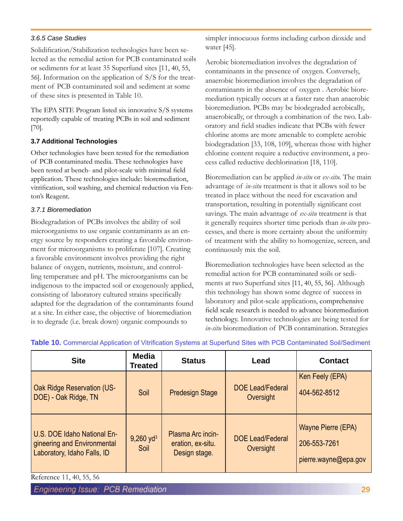## *3.6.5 Case Studies*

Solidification/Stabilization technologies have been selected as the remedial action for PCB contaminated soils or sediments for at least 35 Superfund sites [11, 40, 55, 56]. Information on the application of S/S for the treatment of PCB contaminated soil and sediment at some of these sites is presented in Table 10.

The EPA SITE Program listed six innovative S/S systems reportedly capable of treating PCBs in soil and sediment [70].

## **3.7 Additional Technologies**

Other technologies have been tested for the remediation of PCB contaminated media. These technologies have been tested at bench- and pilot-scale with minimal field application. These technologies include: bioremediation, vitrification, soil washing, and chemical reduction via Fenton's Reagent.

## *3.7.1 Bioremediation*

Biodegradation of PCBs involves the ability of soil microorganisms to use organic contaminants as an energy source by responders creating a favorable environment for microorganisms to proliferate [107]. Creating a favorable environment involves providing the right balance of oxygen, nutrients, moisture, and controlling temperature and pH. The microorganisms can be indigenous to the impacted soil or exogenously applied, consisting of laboratory cultured strains specifically adapted for the degradation of the contaminants found at a site. In either case, the objective of bioremediation is to degrade (i.e. break down) organic compounds to

simpler innocuous forms including carbon dioxide and water [45].

Aerobic bioremediation involves the degradation of contaminants in the presence of oxygen. Conversely, anaerobic bioremediation involves the degradation of contaminants in the absence of oxygen . Aerobic bioremediation typically occurs at a faster rate than anaerobic bioremediation. PCBs may be biodegraded aerobically, anaerobically, or through a combination of the two. Laboratory and field studies indicate that PCBs with fewer chlorine atoms are more amenable to complete aerobic biodegradation [33, 108, 109], whereas those with higher chlorine content require a reductive environment, a process called reductive dechlorination [18, 110].

Bioremediation can be applied *in-situ* or *ex-situ*. The main advantage of *in-situ* treatment is that it allows soil to be treated in place without the need for excavation and transportation, resulting in potentially significant cost savings. The main advantage of *ex-situ* treatment is that it generally requires shorter time periods than *in-situ* processes, and there is more certainty about the uniformity of treatment with the ability to homogenize, screen, and continuously mix the soil.

Bioremediation technologies have been selected as the remedial action for PCB contaminated soils or sediments at two Superfund sites [11, 40, 55, 56]. Although this technology has shown some degree of success in laboratory and pilot-scale applications, comprehensive field scale research is needed to advance bioremediation technology. Innovative technologies are being tested for *in-situ* bioremediation of PCB contamination. Strategies

| <b>Site</b>                                                                               | <b>Media</b><br><b>Treated</b>  | <b>Status</b>                                           | Lead                                 | <b>Contact</b>                                             |
|-------------------------------------------------------------------------------------------|---------------------------------|---------------------------------------------------------|--------------------------------------|------------------------------------------------------------|
| <b>Oak Ridge Reservation (US-</b><br>DOE) - Oak Ridge, TN                                 | Soil                            | <b>Predesign Stage</b>                                  | <b>DOE Lead/Federal</b><br>Oversight | Ken Feely (EPA)<br>404-562-8512                            |
| U.S. DOE Idaho National En-<br>gineering and Environmental<br>Laboratory, Idaho Falls, ID | $9,260$ yd <sup>3</sup><br>Soil | Plasma Arc incin-<br>eration, ex-situ.<br>Design stage. | <b>DOE Lead/Federal</b><br>Oversight | Wayne Pierre (EPA)<br>206-553-7261<br>pierre.wayne@epa.gov |

**Table 10.** Commercial Application of Vitrification Systems at Superfund Sites with PCB Contaminated Soil/Sediment

Reference 11, 40, 55, 56

**Engineering Issue: PCB Remediation**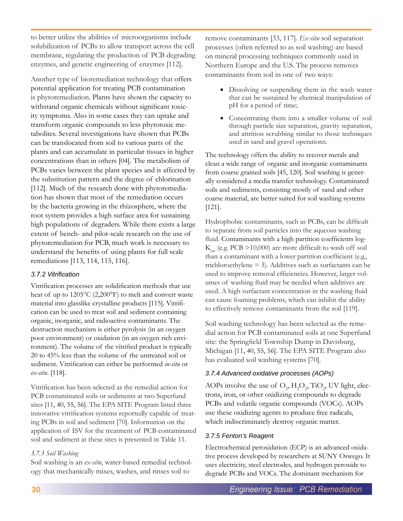to better utilize the abilities of microorganisms include solubilization of PCBs to allow transport across the cell membrane, regulating the production of PCB degrading enzymes, and genetic engineering of enzymes [112].

Another type of bioremediation technology that offers potential application for treating PCB contamination is phytoremediation. Plants have shown the capacity to withstand organic chemicals without significant toxicity symptoms. Also in some cases they can uptake and transform organic compounds to less phytotoxic metabolites. Several investigations have shown that PCBs can be translocated from soil to various parts of the plants and can accumulate in particular tissues in higher concentrations than in others [04]. The metabolism of PCBs varies between the plant species and is affected by the substitution pattern and the degree of chlorination [112]. Much of the research done with phytoremediation has shown that most of the remediation occurs by the bacteria growing in the rhizosphere, where the root system provides a high surface area for sustaining high populations of degraders. While there exists a large extent of bench- and pilot-scale research on the use of phytoremediation for PCB, much work is necessary to understand the benefits of using plants for full scale remediations [113, 114, 115, 116].

## *3.7.2 Vitrification*

Vitrification processes are solidification methods that use heat of up to 1205°C (2,200°F) to melt and convert waste material into glasslike crystalline products [115]. Vitrification can be used to treat soil and sediment containing organic, inorganic, and radioactive contaminants. The destruction mechanism is either pyrolysis (in an oxygen poor environment) or oxidation (in an oxygen rich environment). The volume of the vitrified product is typically 20 to 45% less than the volume of the untreated soil or sediment. Vitrification can either be performed *in-situ* or *ex-situ*. [118].

Vitrification has been selected as the remedial action for PCB contaminated soils or sediments at two Superfund sites [11, 40, 55, 56]. The EPA SITE Program listed three innovative vitrification systems reportedly capable of treating PCBs in soil and sediment [70]. Information on the application of ISV for the treatment of PCB contaminated soil and sediment at these sites is presented in Table 11.

## *3.7.3 Soil Washing*

Soil washing is an *ex-situ*, water-based remedial technology that mechanically mixes, washes, and rinses soil to

remove contaminants [33, 117]. *Ex-situ* soil separation processes (often referred to as soil washing) are based on mineral processing techniques commonly used in Northern Europe and the U.S. The process removes contaminants from soil in one of two ways:

- Dissolving or suspending them in the wash water that can be sustained by chemical manipulation of pH for a period of time;
- • Concentrating them into a smaller volume of soil through particle size separation, gravity separation, and attrition scrubbing similar to those techniques used in sand and gravel operations.

The technology offers the ability to recover metals and clean a wide range of organic and inorganic contaminants from coarse grained soils [45, 120]. Soil washing is generally considered a media transfer technology. Contaminated soils and sediments, consisting mostly of sand and other coarse material, are better suited for soil washing systems [121].

Hydrophobic contaminants, such as PCBs, can be difficult to separate from soil particles into the aqueous washing fluid. Contaminants with a high partition coefficients log- $K_{ow}$  (e.g. PCB >10,000) are more difficult to wash off soil than a contaminant with a lower partition coefficient (e.g., trichloroethylene  $=$  3). Additives such as surfactants can be used to improve removal efficiencies. However, larger volumes of washing fluid may be needed when additives are used. A high surfactant concentration in the washing fluid can cause foaming problems, which can inhibit the ability to effectively remove contaminants from the soil [119].

Soil washing technology has been selected as the remedial action for PCB contaminated soils at one Superfund site: the Springfield Township Dump in Davisburg, Michigan [11, 40, 55, 56]. The EPA SITE Program also has evaluated soil washing systems [70].

## *3.7.4 Advanced oxidative processes (AOPs)*

AOPs involve the use of  $\mathrm{O}_2$ ,  $\mathrm{H}_2\mathrm{O}_2$ ,  $\mathrm{TiO}_2$ , UV light, electrons, iron, or other oxidizing compounds to degrade PCBs and volatile organic compounds (VOCs). AOPs use these oxidizing agents to produce free radicals, which indiscriminately destroy organic matter.

## *3.7.5 Fenton's Reagent*

Electrochemical peroxidation (ECP) is an advanced oxidative process developed by researchers at SUNY Oswego. It uses electricity, steel electrodes, and hydrogen peroxide to degrade PCBs and VOCs. The dominant mechanism for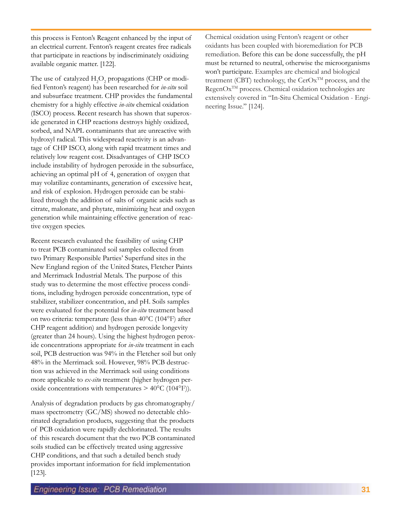this process is Fenton's Reagent enhanced by the input of an electrical current. Fenton's reagent creates free radicals that participate in reactions by indiscriminately oxidizing available organic matter. [122].

The use of catalyzed  $H_2O_2$  propagations (CHP or modified Fenton's reagent) has been researched for *in-situ* soil and subsurface treatment. CHP provides the fundamental chemistry for a highly effective *in-situ* chemical oxidation (ISCO) process. Recent research has shown that superoxide generated in CHP reactions destroys highly oxidized, sorbed, and NAPL contaminants that are unreactive with hydroxyl radical. This widespread reactivity is an advantage of CHP ISCO, along with rapid treatment times and relatively low reagent cost. Disadvantages of CHP ISCO include instability of hydrogen peroxide in the subsurface, achieving an optimal pH of 4, generation of oxygen that may volatilize contaminants, generation of excessive heat, and risk of explosion. Hydrogen peroxide can be stabilized through the addition of salts of organic acids such as citrate, malonate, and phytate, minimizing heat and oxygen generation while maintaining effective generation of reactive oxygen species.

Recent research evaluated the feasibility of using CHP to treat PCB contaminated soil samples collected from two Primary Responsible Parties' Superfund sites in the New England region of the United States, Fletcher Paints and Merrimack Industrial Metals. The purpose of this study was to determine the most effective process conditions, including hydrogen peroxide concentration, type of stabilizer, stabilizer concentration, and pH. Soils samples were evaluated for the potential for *in-situ* treatment based on two criteria: temperature (less than 40°C (104°F) after CHP reagent addition) and hydrogen peroxide longevity (greater than 24 hours). Using the highest hydrogen peroxide concentrations appropriate for *in-situ* treatment in each soil, PCB destruction was 94% in the Fletcher soil but only 48% in the Merrimack soil. However, 98% PCB destruction was achieved in the Merrimack soil using conditions more applicable to *ex-situ* treatment (higher hydrogen peroxide concentrations with temperatures  $> 40^{\circ}$ C (104°F)).

Analysis of degradation products by gas chromatography/ mass spectrometry (GC/MS) showed no detectable chlorinated degradation products, suggesting that the products of PCB oxidation were rapidly dechlorinated. The results of this research document that the two PCB contaminated soils studied can be effectively treated using aggressive CHP conditions, and that such a detailed bench study provides important information for field implementation [123].

Chemical oxidation using Fenton's reagent or other oxidants has been coupled with bioremediation for PCB remediation. Before this can be done successfully, the pH must be returned to neutral, otherwise the microorganisms won't participate. Examples are chemical and biological treatment (CBT) technology, the  $CerOx^{TM}$  process, and the RegenOx<sup>TM</sup> process. Chemical oxidation technologies are extensively covered in "In-Situ Chemical Oxidation - Engineering Issue." [124].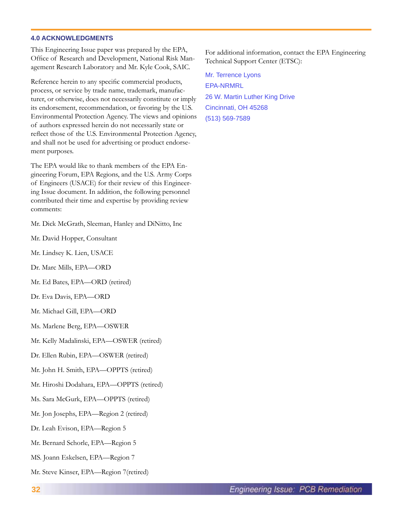### **4.0 ACKNOWLEDGMENTS**

This Engineering Issue paper was prepared by the EPA, Office of Research and Development, National Risk Management Research Laboratory and Mr. Kyle Cook, SAIC.

Reference herein to any specific commercial products, process, or service by trade name, trademark, manufacturer, or otherwise, does not necessarily constitute or imply its endorsement, recommendation, or favoring by the U.S. Environmental Protection Agency. The views and opinions of authors expressed herein do not necessarily state or reflect those of the U.S. Environmental Protection Agency, and shall not be used for advertising or product endorsement purposes.

The EPA would like to thank members of the EPA Engineering Forum, EPA Regions, and the U.S. Army Corps of Engineers (USACE) for their review of this Engineering Issue document. In addition, the following personnel contributed their time and expertise by providing review comments:

Mr. Dick McGrath, Sleeman, Hanley and DiNitto, Inc

- Mr. David Hopper, Consultant
- Mr. Lindsey K. Lien, USACE
- Dr. Marc Mills, EPA—ORD
- Mr. Ed Bates, EPA—ORD (retired)
- Dr. Eva Davis, EPA—ORD
- Mr. Michael Gill, EPA—ORD
- Ms. Marlene Berg, EPA—OSWER
- Mr. Kelly Madalinski, EPA—OSWER (retired)
- Dr. Ellen Rubin, EPA—OSWER (retired)
- Mr. John H. Smith, EPA—OPPTS (retired)
- Mr. Hiroshi Dodahara, EPA—OPPTS (retired)
- Ms. Sara McGurk, EPA—OPPTS (retired)
- Mr. Jon Josephs, EPA—Region 2 (retired)
- Dr. Leah Evison, EPA—Region 5
- Mr. Bernard Schorle, EPA—Region 5
- MS. Joann Eskelsen, EPA—Region 7
- Mr. Steve Kinser, EPA—Region 7(retired)

For additional information, contact the EPA Engineering Technical Support Center (ETSC):

Mr. Terrence Lyons EPA-NRMRL 26 W. Martin Luther King Drive Cincinnati, OH 45268 (513) 569-7589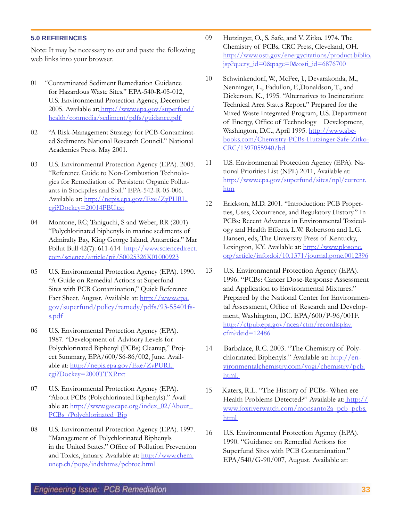## **Engineering Issue: PCB Remediation**

## **5.0 REFERENCES**

Note: It may be necessary to cut and paste the following web links into your browser.

- 01 "Contaminated Sediment Remediation Guidance for Hazardous Waste Sites." EPA-540-R-05-012, U.S. Environmental Protection Agency, December 2005. Available at: http://www.epa.gov/superfund/ health/conmedia/sediment/pdfs/guidance.pdf
- 02 "A Risk-Management Strategy for PCB-Contaminated Sediments National Research Council." National Academies Press. May 2001.
- 03 U.S. Environmental Protection Agency (EPA). 2005. "Reference Guide to Non-Combustion Technologies for Remediation of Persistent Organic Pollutants in Stockpiles and Soil." EPA-542-R-05-006. Available at: http://nepis.epa.gov/Exe/ZyPURL. cgi?Dockey=20014PBU.txt
- 04 Montone, RC; Taniguchi, S and Weber, RR (2001) "Polychlorinated biphenyls in marine sediments of Admiralty Bay, King George Island, Antarctica." Mar Pollut Bull 42(7): 611-614 http://www.sciencedirect. com/science/article/pii/S0025326X01000923
- 05 U.S. Environmental Protection Agency (EPA). 1990. "A Guide on Remedial Actions at Superfund Sites with PCB Contamination," Quick Reference Fact Sheet. August. Available at: http://www.epa. gov/superfund/policy/remedy/pdfs/93-55401fss.pdf
- 06 U.S. Environmental Protection Agency (EPA). 1987. "Development of Advisory Levels for Polychlorinated Biphenyl (PCBs) Cleanup," Project Summary, EPA/600/S6-86/002, June. Available at: http://nepis.epa.gov/Exe/ZyPURL. cgi?Dockey=2000TTXP.txt
- 07 U.S. Environmental Protection Agency (EPA). "About PCBs (Polychlorinated Biphenyls)." Avail able at: http://www.gascape.org/index\_02/About\_ PCBs (Polychlorinated Bip
- 08 U.S. Environmental Protection Agency (EPA). 1997. "Management of Polychlorinated Biphenyls in the United States." Office of Pollution Prevention and Toxics, January. Available at: http://www.chem. unep.ch/pops/indxhtms/pcbtoc.html
- 09 Hutzinger, O., S. Safe, and V. Zitko. 1974. The Chemistry of PCBs, CRC Press, Cleveland, OH. http://www.osti.gov/energycitations/product.biblio. jsp?query\_id=0&page=0&osti\_id=6876700
- 10 Schwinkendorf, W., McFee, J., Devarakonda, M., Nenninger, L., Fadullon, F.,Donaldson, T., and Dickerson, K., 1995. "Alternatives to Incineration: Technical Area Status Report." Prepared for the Mixed Waste Integrated Program, U.S. Department of Energy, Office of Technology Development, Washington, D.C., April 1995. http://www.abebooks.com/Chemistry-PCBs-Hutzinger-Safe-Zitko-CRC/1397055940/bd
- 11 U.S. Environmental Protection Agency (EPA). National Priorities List (NPL) 2011, Available at: http://www.epa.gov/superfund/sites/npl/current. htm
- 12 Erickson, M.D. 2001. "Introduction: PCB Properties, Uses, Occurrence, and Regulatory History." In PCBs: Recent Advances in Environmental Toxicology and Health Effects. L.W. Robertson and L.G. Hansen, eds, The University Press of Kentucky, Lexington, KY. Available at: http://www.plosone. org/article/info:doi/10.1371/journal.pone.0012396
- 13 U.S. Environmental Protection Agency (EPA). 1996. "PCBs: Cancer Dose-Response Assessment and Application to Environmental Mixtures." Prepared by the National Center for Environmental Assessment, Office of Research and Development, Washington, DC. EPA/600/P-96/001F. http://cfpub.epa.gov/ncea/cfm/recordisplay. cfm?deid=12486
- 14 Barbalace, R.C. 2003. "The Chemistry of Polychlorinated Biphenyls." Available at: http://environmentalchemistry.com/yogi/chemistry/pcb. html.
- 15 Katers, R.L. "The History of PCBs- When ere Health Problems Detected?" Available at: http:// www.foxriverwatch.com/monsanto2a\_pcb\_pcbs. html
- 16 U.S. Environmental Protection Agency (EPA). 1990. "Guidance on Remedial Actions for Superfund Sites with PCB Contamination." EPA/540/G-90/007, August. Available at: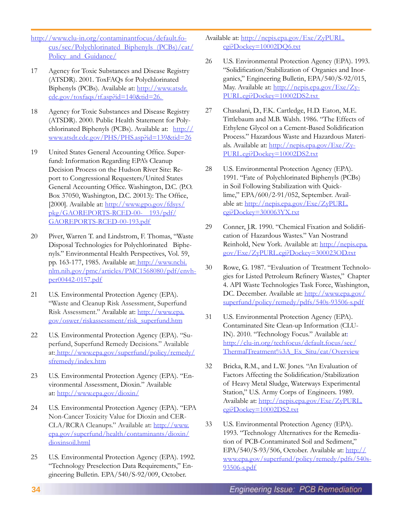http://www.clu-in.org/contaminantfocus/default.focus/sec/Polychlorinated\_Biphenyls\_(PCBs)/cat/ Policy and Guidance/

- 17 Agency for Toxic Substances and Disease Registry (ATSDR). 2001. ToxFAQs for Polychlorinated Biphenyls (PCBs). Available at: http://www.atsdr. cdc.gov/toxfaqs/tf.asp?id=140&tid=26.
- 18 Agency for Toxic Substances and Disease Registry (ATSDR). 2000. Public Health Statement for Polychlorinated Biphenyls (PCBs). Available at: http:// www.atsdr.cdc.gov/PHS/PHS.asp?id=139&tid=26
- 19 United States General Accounting Office. Superfund: Information Regarding EPA's Cleanup Decision Process on the Hudson River Site: Report to Congressional Requesters/United States General Accounting Office. Washington, D.C. (P.O. Box 37050, Washington, D.C. 20013): The Office, [2000]. Available at: http://www.gpo.gov/fdsys/ pkg/GAOREPORTS-RCED-00- 193/pdf/ GAOREPORTS-RCED-00-193.pdf
- 20 Piver, Warren T. and Lindstrom, F. Thomas, "Waste Disposal Technologies for Polychlorinated Biphenyls." Environmental Health Perspectives, Vol. 59, pp. 163-177, 1985. Available at: http://www.ncbi. nlm.nih.gov/pmc/articles/PMC1568080/pdf/envhper00442-0157.pdf
- 21 U.S. Environmental Protection Agency (EPA). "Waste and Cleanup Risk Assessment, Superfund Risk Assessment." Available at: http://www.epa. gov/oswer/riskassessment/risk\_superfund.htm
- 22 U.S. Environmental Protection Agency (EPA). "Superfund, Superfund Remedy Decisions." Available at: http://www.epa.gov/superfund/policy/remedy/ sfremedy/index.htm
- 23 U.S. Environmental Protection Agency (EPA). "Environmental Assessment, Dioxin." Available at: http://www.epa.gov/dioxin/
- 24 U.S. Environmental Protection Agency (EPA). "EPA Non-Cancer Toxicity Value for Dioxin and CER-CLA/RCRA Cleanups." Available at: http://www. epa.gov/superfund/health/contaminants/dioxin/ dioxinsoil.html
- 25 U.S. Environmental Protection Agency (EPA). 1992. "Technology Preselection Data Requirements," Engineering Bulletin. EPA/540/S-92/009, October.

Available at: http://nepis.epa.gov/Exe/ZyPURL. cgi?Dockey=10002DQ6.txt

- 26 U.S. Environmental Protection Agency (EPA). 1993. "Solidification/Stabilization of Organics and Inorganics," Engineering Bulletin, EPA/540/S-92/015, May. Available at: http://nepis.epa.gov/Exe/Zy-PURL.cgi?Dockey=10002DS2.txt
- 27 Chasalani, D., F.K. Cartledge, H.D. Eaton, M.E. Tittlebaum and M.B. Walsh. 1986. "The Effects of Ethylene Glycol on a Cement-Based Solidification Process." Hazardous Waste and Hazardous Materials. Available at: http://nepis.epa.gov/Exe/Zy-PURL.cgi?Dockey=10002DS2.txt
- 28 U.S. Environmental Protection Agency (EPA). 1991. "Fate of Polychlorinated Biphenyls (PCBs) in Soil Following Stabilization with Quicklime," EPA/600/2-91/052, September. Available at: http://nepis.epa.gov/Exe/ZyPURL. cgi?Dockey=300063YX.txt
- 29 Conner, J.R. 1990. "Chemical Fixation and Solidification of Hazardous Wastes." Van Nostrand Reinhold, New York. Available at: http://nepis.epa. gov/Exe/ZyPURL.cgi?Dockey=300023OD.txt
- 30 Rowe, G. 1987. "Evaluation of Treatment Technologies for Listed Petroleum Refinery Wastes," Chapter 4. API Waste Technologies Task Force, Washington, DC. December. Available at: http://www.epa.gov/ superfund/policy/remedy/pdfs/540s-93506-s.pdf
- 31 U.S. Environmental Protection Agency (EPA). Contaminated Site Clean-up Information (CLU-IN). 2010. "Technology Focus." Available at: http://clu-in.org/techfocus/default.focus/sec/ ThermalTreatment%3A\_Ex\_Situ/cat/Overview
- 32 Bricka, R.M., and L.W. Jones. "An Evaluation of Factors Affecting the Solidification/Stabilization of Heavy Metal Sludge, Waterways Experimental Station," U.S. Army Corps of Engineers. 1989. Available at: http://nepis.epa.gov/Exe/ZyPURL. cgi?Dockey=10002DS2.txt
- 33 U.S. Environmental Protection Agency (EPA). 1993. "Technology Alternatives for the Remediation of PCB-Contaminated Soil and Sediment," EPA/540/S-93/506, October. Available at: http:// www.epa.gov/superfund/policy/remedy/pdfs/540s-93506-s.pdf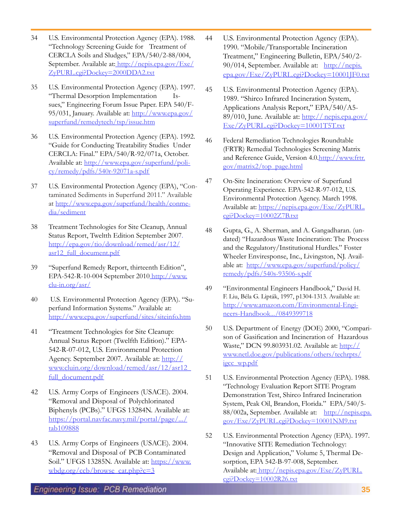- 34 U.S. Environmental Protection Agency (EPA). 1988. "Technology Screening Guide for Treatment of CERCLA Soils and Sludges," EPA/540/2-88/004, September. Available at: http://nepis.epa.gov/Exe/ ZyPURL.cgi?Dockey=2000DDA2.txt
- 35 U.S. Environmental Protection Agency (EPA). 1997. "Thermal Desorption Implementation Issues," Engineering Forum Issue Paper. EPA 540/F-95/031, January. Available at: http://www.epa.gov/ superfund/remedytech/tsp/issue.htm
- 36 U.S. Environmental Protection Agency (EPA). 1992. "Guide for Conducting Treatability Studies Under CERCLA: Final." EPA/540/R-92/071a, October. Available at: http://www.epa.gov/superfund/policy/remedy/pdfs/540r-92071a-s.pdf
- 37 U.S. Environmental Protection Agency (EPA), "Contaminated Sediments in Superfund 2011." Available at http://www.epa.gov/superfund/health/conmedia/sediment
- 38 Treatment Technologies for Site Cleanup, Annual Status Report, Tweltth Edition September 2007. http://epa.gov/tio/download/remed/asr/12/ asr12\_full\_document.pdf
- 39 "Superfund Remedy Report, thirteenth Edition", EPA-542-R-10-004 September 2010 http://www. clu-in.org/asr/
- 40 U.S. Environmental Protection Agency (EPA). "Superfund Information Systems." Available at: http://www.epa.gov/superfund/sites/siteinfo.htm
- 41 "Treatment Technologies for Site Cleanup: Annual Status Report (Twelfth Edition)." EPA-542-R-07-012, U.S. Environmental Protection Agency. September 2007. Available at: http:// www.cluin.org/download/remed/asr/12/asr12\_ full\_document.pdf
- 42 U.S. Army Corps of Engineers (USACE). 2004. "Removal and Disposal of Polychlorinated Biphenyls (PCBs)." UFGS 13284N. Available at: https://portal.navfac.navy.mil/portal/page/.../ tab109888
- 43 U.S. Army Corps of Engineers (USACE). 2004. "Removal and Disposal of PCB Contaminated Soil." UFGS 13285N. Available at: https://www. wbdg.org/ccb/browse\_cat.php?c=3
- 44 U.S. Environmental Protection Agency (EPA). 1990. "Mobile/Transportable Incineration Treatment," Engineering Bulletin, EPA/540/2- 90/014, September. Available at: http://nepis. epa.gov/Exe/ZyPURL.cgi?Dockey=10001JF0.txt
- 45 U.S. Environmental Protection Agency (EPA). 1989. "Shirco Infrared Incineration System, Applications Analysis Report," EPA/540/A5- 89/010, June. Available at: http:// nepis.epa.gov/ Exe/ZyPURL.cgi?Dockey=10001T5T.txt
- 46 Federal Remediation Technologies Roundtable (FRTR) Remedial Technologies Screening Matrix and Reference Guide, Version 4.0.http://www.frtr. gov/matrix2/top\_page.html
- 47 On-Site Incineration: Overview of Superfund Operating Experience. EPA-542-R-97-012, U.S. Environmental Protection Agency. March 1998. Available at: https://nepis.epa.gov/Exe/ZyPURL. cgi?Dockey=10002Z7B.txt
- 48 Gupta, G., A. Sherman, and A. Gangadharan. (undated) "Hazardous Waste Incineration: The Process and the Regulatory/Institutional Hurdles." Foster Wheeler Enviresponse, Inc., Livingston, NJ. Available at: http://www.epa.gov/superfund/policy/ remedy/pdfs/540s-93506-s.pdf
- 49 "Environmental Engineers Handbook," David H. F. Liu, Béla G. Lipták, 1997, p1304-1313. Available at: http://www.amazon.com/Environmental-Engineers-Handbook.../0849399718
- 50 U.S. Department of Energy (DOE) 2000, "Comparison of Gasification and Incineration of Hazardous Waste," DCN 99.803931.02. Available at: http:// www.netl.doe.gov/publications/others/techrpts/ igcc\_wp.pdf
- 51 U.S. Environmental Protection Agency (EPA). 1988. "Technology Evaluation Report SITE Program Demonstration Test, Shirco Infrared Incineration System, Peak Oil, Brandon, Florida." EPA/540/5- 88/002a, September. Available at: http://nepis.epa. gov/Exe/ZyPURL.cgi?Dockey=10001NM9.txt
- 52 U.S. Environmental Protection Agency (EPA). 1997. "Innovative SITE Remediation Technology: Design and Application," Volume 5, Thermal Desorption, EPA 542-B-97-008, September. Available at: http://nepis.epa.gov/Exe/ZyPURL. cgi?Dockey=10002R26.txt

**Engineering Issue: PCB Remediation**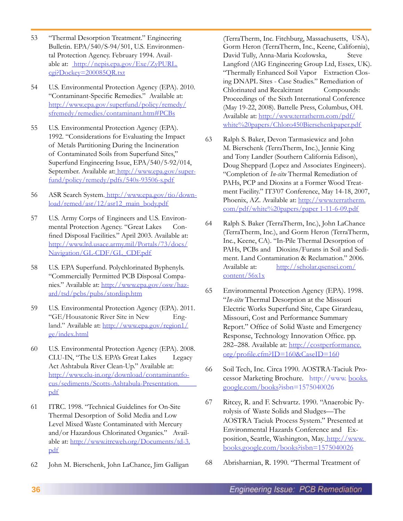- 53 "Thermal Desorption Treatment." Engineering Bulletin. EPA/540/S-94/501, U.S. Environmental Protection Agency. February 1994. Available at: http://nepis.epa.gov/Exe/ZyPURL. cgi?Dockey=200085QR.txt
- 54 U.S. Environmental Protection Agency (EPA). 2010. "Contaminant-Specific Remedies." Available at: http://www.epa.gov/superfund/policy/remedy/ sfremedy/remedies/contaminant.htm#PCBs
- 55 U.S. Environmental Protection Agency (EPA). 1992. "Considerations for Evaluating the Impact of Metals Partitioning During the Incineration of Contaminated Soils from Superfund Sites," Superfund Engineering Issue, EPA/540/5-92/014, September. Available at: http://www.epa.gov/superfund/policy/remedy/pdfs/540s-93506-s.pdf
- 56 ASR Search System. http://www.epa.gov/tio/download/remed/asr/12/asr12\_main\_body.pdf
- 57 U.S. Army Corps of Engineers and U.S. Environmental Protection Agency. "Great Lakes Confined Disposal Facilities." April 2003. Available at: http://www.lrd.usace.army.mil/Portals/73/docs/ Navigation/GL-CDF/GL\_CDF.pdf
- 58 U.S. EPA Superfund. Polychlorinated Byphenyls. "Commercially Permitted PCB Disposal Companies." Available at: http://www.epa.gov/osw/hazard/tsd/pcbs/pubs/stordisp.htm
- 59 U.S. Environmental Protection Agency (EPA). 2011. "GE/Housatonic River Site in New England." Available at: http://www.epa.gov/region1/ ge/index.html
- 60 U.S. Environmental Protection Agency (EPA). 2008. CLU-IN, "The U.S. EPA's Great Lakes Legacy Act Ashtabula River Clean-Up." Available at: http://www.clu-in.org/download/contaminantfocus/sediments/Scotts-Ashtabula-Presentation. pdf
- 61 ITRC. 1998. "Technical Guidelines for On-Site Thermal Desorption of Solid Media and Low Level Mixed Waste Contaminated with Mercury and/or Hazardous Chlorinated Organics." Available at: http://www.itrcweb.org/Documents/td-3. pdf
- 62 John M. Bierschenk, John LaChance, Jim Galligan

(TerraTherm, Inc. Fitchburg, Massachusetts, USA), Gorm Heron (TerraTherm, Inc., Keene, California), David Tully, Anna-Maria Kozlowska, Steve Langford (AIG Engineering Group Ltd, Essex, UK). "Thermally Enhanced Soil Vapor Extraction Closing DNAPL Sites - Case Studies." Remediation of Chlorinated and Recalcitrant Compounds: Proceedings of the Sixth International Conference (May 19-22, 2008). Battelle Press, Columbus, OH. Available at: http://www.terratherm.com/pdf/ white%20papers/Chloro450Bierschenkpaper.pdf

- 63 Ralph S. Baker, Devon Tarmasiewicz and John M. Bierschenk (TerraTherm, Inc.), Jennie King and Tony Landler (Southern California Edison), Doug Sheppard (Lopez and Associates Engineers). "Completion of *In-situ* Thermal Remediation of PAHs, PCP and Dioxins at a Former Wood Treatment Facility." IT3'07 Conference, May 14-18, 2007, Phoenix, AZ. Available at: http://www.terratherm. com/pdf/white%20papers/paper 1-11-6-09.pdf
- 64 Ralph S. Baker (TerraTherm, Inc.), John LaChance (TerraTherm, Inc.), and Gorm Heron (TerraTherm, Inc., Keene, CA). "In-Pile Thermal Desorption of PAHs, PCBs and Dioxins/Furans in Soil and Sediment. Land Contamination & Reclamation." 2006. Available at: http://scholar.qsensei.com/ content/56x1x
- 65 Environmental Protection Agency (EPA). 1998. "*In-situ* Thermal Desorption at the Missouri Electric Works Superfund Site, Cape Girardeau, Missouri, Cost and Performance Summary Report." Office of Solid Waste and Emergency Response, Technology Innovation Office. pp. 282–288. Available at: http://costperformance. org/profile.cfm?ID=160&CaseID=160
- 66 Soil Tech, Inc. Circa 1990. AOSTRA-Taciuk Processor Marketing Brochure. http://www. books. google.com/books?isbn=1575040026
- 67 Ritcey, R. and F. Schwartz. 1990. "Anaerobic Pyrolysis of Waste Solids and Sludges—The AOSTRA Taciuk Process System." Presented at Environmental Hazards Conference and Exposition, Seattle, Washington, May. http://www. books.google.com/books?isbn=1575040026
- 68 Abrisharnian, R. 1990. "Thermal Treatment of

**36**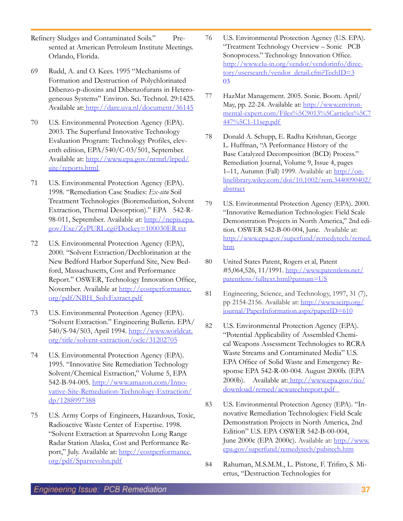- Refinery Sludges and Contaminated Soils." Presented at American Petroleum Institute Meetings. Orlando, Florida.
- 69 Rudd, A. and O. Kees. 1995 "Mechanisms of Formation and Destruction of Polychlorinated Dibenzo-p-dioxins and Dibenzofurans in Heterogeneous Systems" Environ. Sci. Technol. 29:1425. Available at: http://dare.uva.nl/document/36145
- 70 U.S. Environmental Protection Agency (EPA). 2003. The Superfund Innovative Technology Evaluation Program: Technology Profiles, eleventh edition, EPA/540/C-03/501, September. Available at: http://www.epa.gov/nrmrl/lrpcd/ site/reports.html
- 71 U.S. Environmental Protection Agency (EPA). 1998. "Remediation Case Studies: *Ex-situ* Soil Treatment Technologies (Bioremediation, Solvent Extraction, Thermal Desorption)." EPA 542-R-98-011, September. Available at: http://nepis.epa. gov/Exe/ZyPURL.cgi?Dockey=100030ER.txt
- 72 U.S. Environmental Protection Agency (EPA), 2000. "Solvent Extraction/Dechlorination at the New Bedford Harbor Superfund Site, New Bedford, Massachusetts, Cost and Performance Report." OSWER, Technology Innovation Office, November. Available at http://costperformance. org/pdf/NBH\_SolvExtract.pdf
- 73 U.S. Environmental Protection Agency (EPA). "Solvent Extraction." Engineering Bulletin. EPA/ 540/S-94/503, April 1994. http://www.worldcat. org/title/solvent-extraction/oclc/31202705
- 74 U.S. Environmental Protection Agency (EPA). 1995. "Innovative Site Remediation Technology Solvent/Chemical Extraction," Volume 5, EPA 542-B-94-005. http://www.amazon.com/Innovative-Site-Remediation-Technology-Extraction/ dp/1288997388
- 75 U.S. Army Corps of Engineers, Hazardous, Toxic, Radioactive Waste Center of Expertise. 1998. "Solvent Extraction at Sparrevohn Long Range Radar Station Alaska, Cost and Performance Report," July. Available at: http://costperformance. org/pdf/Sparrevohn.pdf
- 76 U.S. Environmental Protection Agency (U.S. EPA). "Treatment Technology Overview – Sonic PCB Sonoprocess." Technology Innovation Office. http://www.clu-in.org/vendor/vendorinfo/directory/usersearch/vendor\_detail.cfm?TechID=3 03
- 77 HazMat Management. 2005. Sonic. Boom. April/ May, pp. 22-24. Available at: http://www.environmental-expert.com/Files%5C9013%5Carticles%5C7 447%5C1-11sep.pdf
- 78 Donald A. Schupp, E. Radha Krishnan, George L. Huffman, "A Performance History of the Base Catalyzed Decomposition (BCD) Process." Remediation Journal, Volume 9, Issue 4, pages 1–11, Autumn (Fall) 1999. Available at: http://onlinelibrary.wiley.com/doi/10.1002/rem.3440090402/ abstract
- 79 U.S. Environmental Protection Agency (EPA). 2000. "Innovative Remediation Technologies: Field Scale Demonstration Projects in North America," 2nd edition. OSWER 542-B-00-004, June. Available at: http://www.epa.gov/superfund/remedytech/remed. htm
- 80 United States Patent, Rogers et al, Patent #5,064,526, 11/1991. http://www.patentlens.net/ patentlens/fulltext.html?patnum=US
- 81 Engineering, Science, and Technology, 1997, 31 (7), pp 2154-2156. Available at: http://www.scirp.org/ journal/PaperInformation.aspx?paperID=610
- 82 U.S. Environmental Protection Agency (EPA). "Potential Applicability of Assembled Chemical Weapons Assessment Technologies to RCRA Waste Streams and Contaminated Media" U.S. EPA Office of Solid Waste and Emergency Response EPA 542-R-00-004. August 2000b. (EPA 2000b). Available at: http://www.epa.gov/tio/ download/remed/acwatechreport.pdf
- 83 U.S. Environmental Protection Agency (EPA). "Innovative Remediation Technologies: Field Scale Demonstration Projects in North America, 2nd Edition" U.S. EPA OSWER 542-B-00-004, June 2000c (EPA 2000c). Available at: http://www. epa.gov/superfund/remedytech/pubitech.htm
- 84 Rahuman, M.S.M.M., L. Pistone, F. Trifiro, S. Miertus, "Destruction Technologies for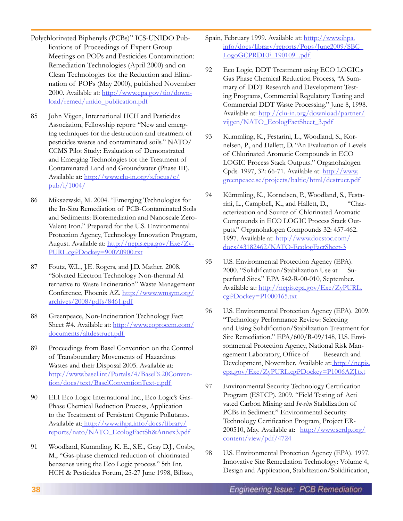- Polychlorinated Biphenyls (PCBs)" ICS-UNIDO Publications of Proceedings of Expert Group Meetings on POPs and Pesticides Contamination: Remediation Technologies (April 2000) and on Clean Technologies for the Reduction and Elimination of POPs (May 2000), published November 2000. Available at: http://www.epa.gov/tio/download/remed/unido\_publication.pdf
- 85 John Vijgen, International HCH and Pesticides Association, Fellowship report: "New and emerging techniques for the destruction and treatment of pesticides wastes and contaminated soils." NATO/ CCMS Pilot Study: Evaluation of Demonstrated and Emerging Technologies for the Treatment of Contaminated Land and Groundwater (Phase III). Available at: http://www.clu-in.org/s.focus/c/ pub/i/1004/
- 86 Mikszewski, M. 2004. "Emerging Technologies for the In-Situ Remediation of PCB-Contaminated Soils and Sediments: Bioremediation and Nanoscale Zero-Valent Iron." Prepared for the U.S. Environmental Protection Agency, Technology Innovation Program, August. Available at: http://nepis.epa.gov/Exe/Zy-PURL.cgi?Dockey=900Z0900.txt
- 87 Foutz, W.L., J.E. Rogers, and J.D. Mather. 2008. "Solvated Electron Technology Non-thermal Al ternative to Waste Incineration" Waste Management Conference, Phoenix AZ. http://www.wmsym.org/ archives/2008/pdfs/8461.pdf
- 88 Greenpeace, Non-Incineration Technology Fact Sheet #4. Available at: http://www.coprocem.com/ documents/altdestruct.pdf
- 89 Proceedings from Basel Convention on the Control of Transboundary Movements of Hazardous Wastes and their Disposal 2005. Available at: http://www.basel.int/Portals/4/Basel%20Convention/docs/text/BaselConventionText-e.pdf
- 90 ELI Eco Logic International Inc., Eco Logic's Gas-Phase Chemical Reduction Process, Application to the Treatment of Persistent Organic Pollutants. Available at: http://www.ihpa.info/docs/library/ reports/nato/NATO\_EcologFactSh&Annex3.pdf
- 91 Woodland, Kummling, K. E., S.E., Gray D.J., Cosby, M., "Gas-phase chemical reduction of chlorinated benzenes using the Eco Logic process." 5th Int. HCH & Pesticides Forum, 25-27 June 1998, Bilbao,
- Spain, February 1999. Available at: htttp://www.ihpa. info/docs/library/reports/Pops/June2009/SBC\_ LogoGCPRDEF\_190109\_.pdf
- 92 Eco Logic, DDT Treatment using ECO LOGIC.s Gas Phase Chemical Reduction Process, "A Summary of DDT Research and Development Testing Programs, Commercial Regulatory Testing and Commercial DDT Waste Processing." June 8, 1998. Available at: http://clu-in.org/download/partner/ vijgen/NATO\_EcologFactSheet\_3.pdf
- 93 Kummling, K., Festarini, L., Woodland, S., Kornelsen, P., and Hallett, D. "An Evaluation of Levels of Chlorinated Aromatic Compounds in ECO LOGIC Process Stack Outputs." Organohalogen Cpds. 1997, 32: 66-71. Available at: http://www. greenpeace.se/projects/baltic/html/destruct.pdf
- 94 Kümmling, K., Kornelsen, P., Woodland, S., Festarini, L., Campbell, K., and Hallett, D., "Characterization and Source of Chlorinated Aromatic Compounds in ECO LOGIC Process Stack Outputs." Organohalogen Compounds 32: 457-462. 1997. Available at: http://www.docstoc.com/ docs/43182462/NATO-EcologFactSheet-3
- 95 U.S. Environmental Protection Agency (EPA). 2000. "Solidification/Stabilization Use at Superfund Sites." EPA 542-R-00-010, September. Available at: http://nepis.epa.gov/Exe/ZyPURL. cgi?Dockey=P1000165.txt
- 96 U.S. Environmental Protection Agency (EPA). 2009. "Technology Performance Review: Selecting and Using Solidification/Stabilization Treatment for Site Remediation." EPA/600/R-09/148, U.S. Environmental Protection Agency, National Risk Management Laboratory, Office of Research and Development, November. Available at: http://nepis. epa.gov/Exe/ZyPURL.cgi?Dockey=P1006AZJ.txt
- 97 Environmental Security Technology Certification Program (ESTCP). 2009. "Field Testing of Acti vated Carbon Mixing and *In-situ* Stabilization of PCBs in Sediment." Environmental Security Technology Certification Program, Project ER-200510, May. Available at: http://www.serdp.org/ content/view/pdf/4724
- 98 U.S. Environmental Protection Agency (EPA). 1997. Innovative Site Remediation Technology: Volume 4, Design and Application, Stabilization/Solidification,

**38**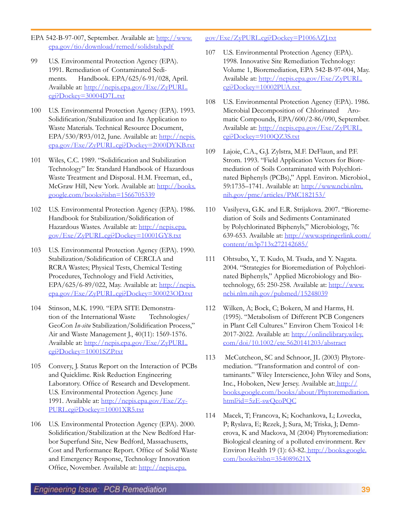- EPA 542-B-97-007, September. Available at: http://www. epa.gov/tio/download/remed/solidstab.pdf
- 99 U.S. Environmental Protection Agency (EPA). 1991. Remediation of Contaminated Sediments. Handbook. EPA/625/6-91/028, April. Available at: http://nepis.epa.gov/Exe/ZyPURL. cgi?Dockey=30004D7L.txt
- 100 U.S. Environmental Protection Agency (EPA). 1993. Solidification/Stabilization and Its Application to Waste Materials. Technical Resource Document, EPA/530/R93/012, June. Available at:  $\frac{http://nepis.}{http://nepis.}$ epa.gov/Exe/ZyPURL.cgi?Dockey=2000DYKB.txt
- 101 Wiles, C.C. 1989. "Solidification and Stabilization Technology" In: Standard Handbook of Hazardous Waste Treatment and Disposal. H.M. Freeman, ed., McGraw Hill, New York. Available at: http://books. google.com/books?isbn=1566705339
- 102 U.S. Environmental Protection Agency (EPA). 1986. Handbook for Stabilization/Solidification of Hazardous Wastes. Available at: http://nepis.epa. gov/Exe/ZyPURL.cgi?Dockey=10001GY8.txt
- 103 U.S. Environmental Protection Agency (EPA). 1990. Stabilization/Solidification of CERCLA and RCRA Wastes; Physical Tests, Chemical Testing Procedures, Technology and Field Activities, EPA/625/6-89/022, May. Available at: http://nepis. epa.gov/Exe/ZyPURL.cgi?Dockey=300023OD.txt
- 104 Stinson, M.K. 1990. "EPA SITE Demonstration of the International Waste Technologies/ GeoCon *In-situ* Stabilization/Solidification Process," Air and Waste Management J., 40(11): 1569-1576. Available at: http://nepis.epa.gov/Exe/ZyPURL. cgi?Dockey=10001SZP.txt
- 105 Convery, J. Status Report on the Interaction of PCBs and Quicklime. Risk Reduction Engineering Laboratory. Office of Research and Development. U.S. Environmental Protection Agency. June 1991. Available at: http://nepis.epa.gov/Exe/Zy-PURL.cgi?Dockey=10001XR5.txt
- 106 U.S. Environmental Protection Agency (EPA). 2000. Solidification/Stabilization at the New Bedford Harbor Superfund Site, New Bedford, Massachusetts, Cost and Performance Report. Office of Solid Waste and Emergency Response, Technology Innovation Office, November. Available at: http://nepis.epa.

## gov/Exe/ZyPURL.cgi?Dockey=P1006AZJ.txt

- 107 U.S. Environmental Protection Agency (EPA). 1998. Innovative Site Remediation Technology: Volume 1, Bioremediation, EPA 542-B-97-004, May. Available at: http://nepis.epa.gov/Exe/ZyPURL. cgi?Dockey=10002PUA.txt
- 108 U.S. Environmental Protection Agency (EPA). 1986. Microbial Decomposition of Chlorinated Aromatic Compounds, EPA/600/2-86/090, September. Available at: http://nepis.epa.gov/Exe/ZyPURL. cgi?Dockey=9100QZ3S.txt
- 109 Lajoie, C.A., G.J. Zylstra, M.F. DeFlaun, and P.F. Strom. 1993. "Field Application Vectors for Bioremediation of Soils Contaminated with Polychlorinated Biphenyls (PCBs)," Appl. Environ. Microbiol., 59:1735–1741. Available at: http://www.ncbi.nlm. nih.gov/pmc/articles/PMC182153/
- 110 Vasilyeva, G.K. and E.R. Strijakova. 2007. "Bioremediation of Soils and Sediments Contaminated by Polychlorinated Biphenyls," Microbiology, 76: 639-653. Available at: http://www.springerlink.com/ content/m3p713x272142685/
- 111 Ohtsubo, Y., T. Kudo, M. Tsuda, and Y. Nagata. 2004. "Strategies for Bioremediation of Polychlorinated Biphenyls," Applied Microbiology and Biotechnology, 65: 250-258. Available at:  $\frac{http://www.}{http://www.}$ ncbi.nlm.nih.gov/pubmed/15248039
- 112 Wilken, A; Bock, C; Bokern, M and Harms, H. (1995). "Metabolism of Different PCB Congeners in Plant Cell Cultures." Environ Chem Toxicol 14: 2017-2022. Available at: http://onlinelibrary.wiley. com/doi/10.1002/etc.5620141203/abstract
- 113 McCutcheon, SC and Schnoor, JL (2003) Phytoremediation. "Transformation and control of contaminants." Wiley Interscience, John Wiley and Sons, Inc., Hoboken, New Jersey. Available at: http:// books.google.com/books/about/Phytoremediation. html?id=5zE-swQcoPQC
- 114 Macek, T; Francova, K; Kochankova, L; Lovecka, P; Ryslava, E; Rezek, J; Sura, M; Triska, J; Demnerova, K and Mackova, M (2004) Phytoremediation: Biological cleaning of a polluted environment. Rev Environ Health 19 (1): 63-82. http://books.google. com/books?isbn=354089621X